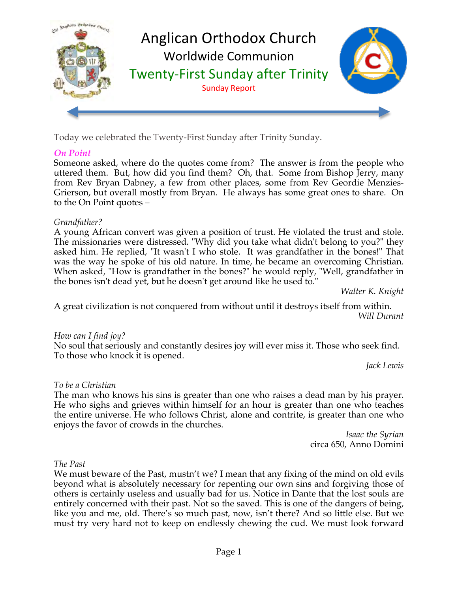

Today we celebrated the Twenty-First Sunday after Trinity Sunday.

# *On Point*

Someone asked, where do the quotes come from? The answer is from the people who uttered them. But, how did you find them? Oh, that. Some from Bishop Jerry, many from Rev Bryan Dabney, a few from other places, some from Rev Geordie Menzies-Grierson, but overall mostly from Bryan. He always has some great ones to share. On to the On Point quotes –

# *Grandfather?*

A young African convert was given a position of trust. He violated the trust and stole. The missionaries were distressed. "Why did you take what didn't belong to you?" they asked him. He replied, "It wasn't I who stole. It was grandfather in the bones!" That was the way he spoke of his old nature. In time, he became an overcoming Christian. When asked, "How is grandfather in the bones?" he would reply, "Well, grandfather in the bones isn't dead yet, but he doesn't get around like he used to."

*Walter K. Knight*

A great civilization is not conquered from without until it destroys itself from within. *Will Durant* 

# *How can I find joy?*

No soul that seriously and constantly desires joy will ever miss it. Those who seek find. To those who knock it is opened.

*Jack Lewis*

# *To be a Christian*

The man who knows his sins is greater than one who raises a dead man by his prayer. He who sighs and grieves within himself for an hour is greater than one who teaches the entire universe. He who follows Christ, alone and contrite, is greater than one who enjoys the favor of crowds in the churches.

> *Isaac the Syrian* circa 650, Anno Domini

# *The Past*

We must beware of the Past, mustn't we? I mean that any fixing of the mind on old evils beyond what is absolutely necessary for repenting our own sins and forgiving those of others is certainly useless and usually bad for us. Notice in Dante that the lost souls are entirely concerned with their past. Not so the saved. This is one of the dangers of being, like you and me, old. There's so much past, now, isn't there? And so little else. But we must try very hard not to keep on endlessly chewing the cud. We must look forward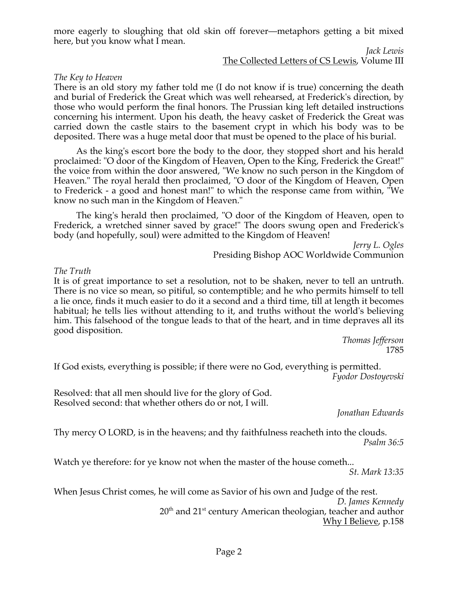more eagerly to sloughing that old skin off forever—metaphors getting a bit mixed here, but you know what I mean.

#### *Jack Lewis* The Collected Letters of CS Lewis, Volume III

#### *The Key to Heaven*

There is an old story my father told me (I do not know if is true) concerning the death and burial of Frederick the Great which was well rehearsed, at Frederick's direction, by those who would perform the final honors. The Prussian king left detailed instructions concerning his interment. Upon his death, the heavy casket of Frederick the Great was carried down the castle stairs to the basement crypt in which his body was to be deposited. There was a huge metal door that must be opened to the place of his burial.

 As the king's escort bore the body to the door, they stopped short and his herald proclaimed: "O door of the Kingdom of Heaven, Open to the King, Frederick the Great!" the voice from within the door answered, "We know no such person in the Kingdom of Heaven." The royal herald then proclaimed, "O door of the Kingdom of Heaven, Open to Frederick - a good and honest man!" to which the response came from within, "We know no such man in the Kingdom of Heaven."

 The king's herald then proclaimed, "O door of the Kingdom of Heaven, open to Frederick, a wretched sinner saved by grace!" The doors swung open and Frederick's body (and hopefully, soul) were admitted to the Kingdom of Heaven!

> *Jerry L. Ogles* Presiding Bishop AOC Worldwide Communion

#### *The Truth*

It is of great importance to set a resolution, not to be shaken, never to tell an untruth. There is no vice so mean, so pitiful, so contemptible; and he who permits himself to tell a lie once, finds it much easier to do it a second and a third time, till at length it becomes habitual; he tells lies without attending to it, and truths without the world's believing him. This falsehood of the tongue leads to that of the heart, and in time depraves all its good disposition.

*Thomas Jefferson* 1785

If God exists, everything is possible; if there were no God, everything is permitted. *Fyodor Dostoyevski*

Resolved: that all men should live for the glory of God. Resolved second: that whether others do or not, I will.

*Jonathan Edwards*

Thy mercy O LORD, is in the heavens; and thy faithfulness reacheth into the clouds. *Psalm 36:5*

Watch ye therefore: for ye know not when the master of the house cometh...

*St. Mark 13:35*

When Jesus Christ comes, he will come as Savior of his own and Judge of the rest.

*D. James Kennedy*  $20<sup>th</sup>$  and  $21<sup>st</sup>$  century American theologian, teacher and author Why I Believe, p.158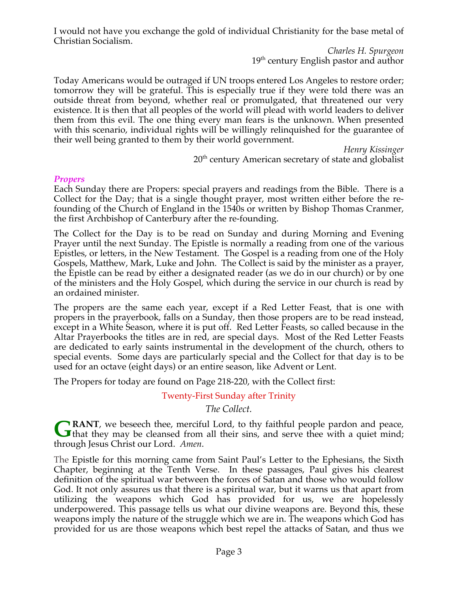I would not have you exchange the gold of individual Christianity for the base metal of Christian Socialism.

> *Charles H. Spurgeon* 19<sup>th</sup> century English pastor and author

Today Americans would be outraged if UN troops entered Los Angeles to restore order; tomorrow they will be grateful. This is especially true if they were told there was an outside threat from beyond, whether real or promulgated, that threatened our very existence. It is then that all peoples of the world will plead with world leaders to deliver them from this evil. The one thing every man fears is the unknown. When presented with this scenario, individual rights will be willingly relinquished for the guarantee of their well being granted to them by their world government.

*Henry Kissinger*

 $20<sup>th</sup>$  century American secretary of state and globalist

#### *Propers*

Each Sunday there are Propers: special prayers and readings from the Bible. There is a Collect for the Day; that is a single thought prayer, most written either before the refounding of the Church of England in the 1540s or written by Bishop Thomas Cranmer, the first Archbishop of Canterbury after the re-founding.

The Collect for the Day is to be read on Sunday and during Morning and Evening Prayer until the next Sunday. The Epistle is normally a reading from one of the various Epistles, or letters, in the New Testament. The Gospel is a reading from one of the Holy Gospels, Matthew, Mark, Luke and John. The Collect is said by the minister as a prayer, the Epistle can be read by either a designated reader (as we do in our church) or by one of the ministers and the Holy Gospel, which during the service in our church is read by an ordained minister.

The propers are the same each year, except if a Red Letter Feast, that is one with propers in the prayerbook, falls on a Sunday, then those propers are to be read instead, except in a White Season, where it is put off. Red Letter Feasts, so called because in the Altar Prayerbooks the titles are in red, are special days. Most of the Red Letter Feasts are dedicated to early saints instrumental in the development of the church, others to special events. Some days are particularly special and the Collect for that day is to be used for an octave (eight days) or an entire season, like Advent or Lent.

The Propers for today are found on Page 218-220, with the Collect first:

Twenty-First Sunday after Trinity

*The Collect.*

**RANT**, we beseech thee, merciful Lord, to thy faithful people pardon and peace, **GRANT**, we beseech thee, merciful Lord, to thy faithful people pardon and peace, that they may be cleansed from all their sins, and serve thee with a quiet mind; through Jesus Christ our Lord. *Amen*.

The Epistle for this morning came from Saint Paul's Letter to the Ephesians, the Sixth Chapter, beginning at the Tenth Verse. In these passages, Paul gives his clearest definition of the spiritual war between the forces of Satan and those who would follow God. It not only assures us that there is a spiritual war, but it warns us that apart from utilizing the weapons which God has provided for us, we are hopelessly underpowered. This passage tells us what our divine weapons are. Beyond this, these weapons imply the nature of the struggle which we are in. The weapons which God has provided for us are those weapons which best repel the attacks of Satan, and thus we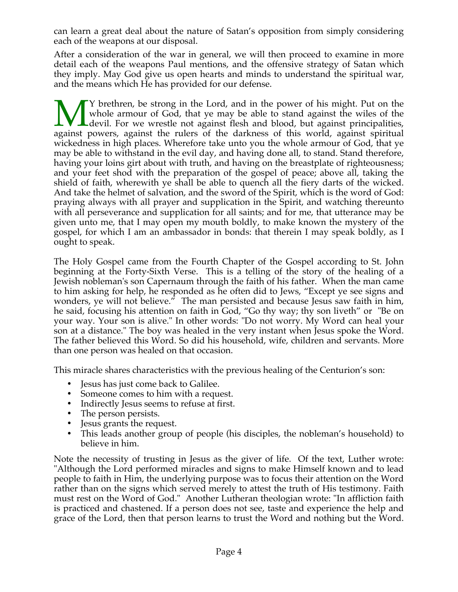can learn a great deal about the nature of Satan's opposition from simply considering each of the weapons at our disposal.

After a consideration of the war in general, we will then proceed to examine in more detail each of the weapons Paul mentions, and the offensive strategy of Satan which they imply. May God give us open hearts and minds to understand the spiritual war, and the means which He has provided for our defense.

Y brethren, be strong in the Lord, and in the power of his might. Put on the whole armour of God, that ye may be able to stand against the wiles of the devil. For we wrestle not against flesh and blood, but against principalities, Whole armour of God, that ye may be able to stand against the wiles of the devil. For we wrestle not against flesh and blood, but against principalities, against powers, against the rulers of the darkness of this world, ag wickedness in high places. Wherefore take unto you the whole armour of God, that ye may be able to withstand in the evil day, and having done all, to stand. Stand therefore, having your loins girt about with truth, and having on the breastplate of righteousness; and your feet shod with the preparation of the gospel of peace; above all, taking the shield of faith, wherewith ye shall be able to quench all the fiery darts of the wicked. And take the helmet of salvation, and the sword of the Spirit, which is the word of God: praying always with all prayer and supplication in the Spirit, and watching thereunto with all perseverance and supplication for all saints; and for me, that utterance may be given unto me, that I may open my mouth boldly, to make known the mystery of the gospel, for which I am an ambassador in bonds: that therein I may speak boldly, as I ought to speak.

The Holy Gospel came from the Fourth Chapter of the Gospel according to St. John beginning at the Forty-Sixth Verse. This is a telling of the story of the healing of a Jewish nobleman's son Capernaum through the faith of his father. When the man came to him asking for help, he responded as he often did to Jews, "Except ye see signs and wonders, ye will not believe." The man persisted and because Jesus saw faith in him, he said, focusing his attention on faith in God, "Go thy way; thy son liveth" or "Be on your way. Your son is alive." In other words: "Do not worry. My Word can heal your son at a distance." The boy was healed in the very instant when Jesus spoke the Word. The father believed this Word. So did his household, wife, children and servants. More than one person was healed on that occasion.

This miracle shares characteristics with the previous healing of the Centurion's son:

- Jesus has just come back to Galilee.
- Someone comes to him with a request.
- Indirectly Jesus seems to refuse at first.
- The person persists.
- Jesus grants the request.
- This leads another group of people (his disciples, the nobleman's household) to believe in him.

Note the necessity of trusting in Jesus as the giver of life. Of the text, Luther wrote: "Although the Lord performed miracles and signs to make Himself known and to lead people to faith in Him, the underlying purpose was to focus their attention on the Word rather than on the signs which served merely to attest the truth of His testimony. Faith must rest on the Word of God." Another Lutheran theologian wrote: "In affliction faith is practiced and chastened. If a person does not see, taste and experience the help and grace of the Lord, then that person learns to trust the Word and nothing but the Word.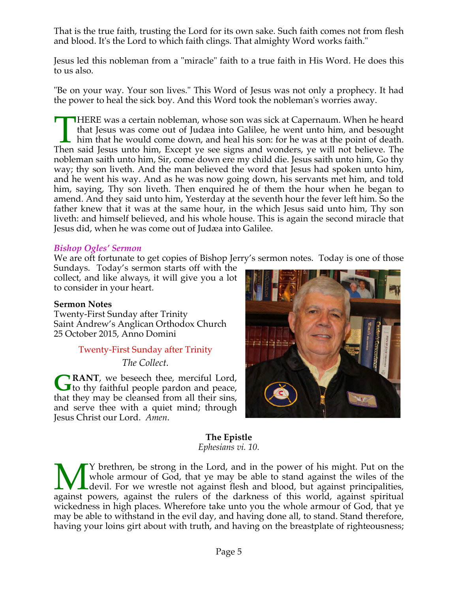That is the true faith, trusting the Lord for its own sake. Such faith comes not from flesh and blood. It's the Lord to which faith clings. That almighty Word works faith."

Jesus led this nobleman from a "miracle" faith to a true faith in His Word. He does this to us also.

"Be on your way. Your son lives." This Word of Jesus was not only a prophecy. It had the power to heal the sick boy. And this Word took the nobleman's worries away.

HERE was a certain nobleman, whose son was sick at Capernaum. When he heard that Jesus was come out of Judæa into Galilee, he went unto him, and besought him that he would come down, and heal his son: for he was at the point of death. THERE was a certain nobleman, whose son was sick at Capernaum. When he heard that Jesus was come out of Judæa into Galilee, he went unto him, and besought him that he would come down, and heal his son: for he was at the po nobleman saith unto him, Sir, come down ere my child die. Jesus saith unto him, Go thy way; thy son liveth. And the man believed the word that Jesus had spoken unto him, and he went his way. And as he was now going down, his servants met him, and told him, saying, Thy son liveth. Then enquired he of them the hour when he began to amend. And they said unto him, Yesterday at the seventh hour the fever left him. So the father knew that it was at the same hour, in the which Jesus said unto him, Thy son liveth: and himself believed, and his whole house. This is again the second miracle that Jesus did, when he was come out of Judæa into Galilee.

#### *Bishop Ogles' Sermon*

We are oft fortunate to get copies of Bishop Jerry's sermon notes. Today is one of those

Sundays. Today's sermon starts off with the collect, and like always, it will give you a lot to consider in your heart.

# **Sermon Notes**

Twenty-First Sunday after Trinity Saint Andrew's Anglican Orthodox Church 25 October 2015, Anno Domini

# Twenty-First Sunday after Trinity

*The Collect.*

**RANT**, we beseech thee, merciful Lord, **GRANT**, we beseech thee, merciful Lord,<br>to thy faithful people pardon and peace, that they may be cleansed from all their sins, and serve thee with a quiet mind; through Jesus Christ our Lord. *Amen*.



#### **The Epistle** *Ephesians vi. 10.*

Y brethren, be strong in the Lord, and in the power of his might. Put on the whole armour of God, that ye may be able to stand against the wiles of the Ldevil. For we wrestle not against flesh and blood, but against principalities, Whole armour of God, that ye may be able to stand against the wiles of the devil. For we wrestle not against flesh and blood, but against principalities, against powers, against the rulers of the darkness of this world, ag wickedness in high places. Wherefore take unto you the whole armour of God, that ye may be able to withstand in the evil day, and having done all, to stand. Stand therefore, having your loins girt about with truth, and having on the breastplate of righteousness;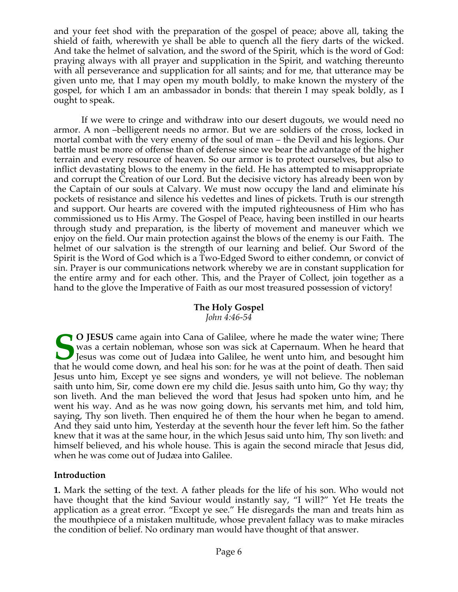and your feet shod with the preparation of the gospel of peace; above all, taking the shield of faith, wherewith ye shall be able to quench all the fiery darts of the wicked. And take the helmet of salvation, and the sword of the Spirit, which is the word of God: praying always with all prayer and supplication in the Spirit, and watching thereunto with all perseverance and supplication for all saints; and for me, that utterance may be given unto me, that I may open my mouth boldly, to make known the mystery of the gospel, for which I am an ambassador in bonds: that therein I may speak boldly, as I ought to speak.

 If we were to cringe and withdraw into our desert dugouts, we would need no armor. A non –belligerent needs no armor. But we are soldiers of the cross, locked in mortal combat with the very enemy of the soul of man – the Devil and his legions. Our battle must be more of offense than of defense since we bear the advantage of the higher terrain and every resource of heaven. So our armor is to protect ourselves, but also to inflict devastating blows to the enemy in the field. He has attempted to misappropriate and corrupt the Creation of our Lord. But the decisive victory has already been won by the Captain of our souls at Calvary. We must now occupy the land and eliminate his pockets of resistance and silence his vedettes and lines of pickets. Truth is our strength and support. Our hearts are covered with the imputed righteousness of Him who has commissioned us to His Army. The Gospel of Peace, having been instilled in our hearts through study and preparation, is the liberty of movement and maneuver which we enjoy on the field. Our main protection against the blows of the enemy is our Faith. The helmet of our salvation is the strength of our learning and belief. Our Sword of the Spirit is the Word of God which is a Two-Edged Sword to either condemn, or convict of sin. Prayer is our communications network whereby we are in constant supplication for the entire army and for each other. This, and the Prayer of Collect, join together as a hand to the glove the Imperative of Faith as our most treasured possession of victory!

#### **The Holy Gospel** *John 4:46-54*

**O JESUS** came again into Cana of Galilee, where he made the water wine; There was a certain nobleman, whose son was sick at Capernaum. When he heard that Jesus was come out of Judæa into Galilee, he went unto him, and besought him that he would come down, and heal his son: for he was at the point of death. Then said Jesus unto him, Except ye see signs and wonders, ye will not believe. The nobleman saith unto him, Sir, come down ere my child die. Jesus saith unto him, Go thy way; thy son liveth. And the man believed the word that Jesus had spoken unto him, and he went his way. And as he was now going down, his servants met him, and told him, saying, Thy son liveth. Then enquired he of them the hour when he began to amend. And they said unto him, Yesterday at the seventh hour the fever left him. So the father knew that it was at the same hour, in the which Jesus said unto him, Thy son liveth: and himself believed, and his whole house. This is again the second miracle that Jesus did, when he was come out of Judæa into Galilee. **S**<br>that h

# **Introduction**

**1.** Mark the setting of the text. A father pleads for the life of his son. Who would not have thought that the kind Saviour would instantly say, "I will?" Yet He treats the application as a great error. "Except ye see." He disregards the man and treats him as the mouthpiece of a mistaken multitude, whose prevalent fallacy was to make miracles the condition of belief. No ordinary man would have thought of that answer.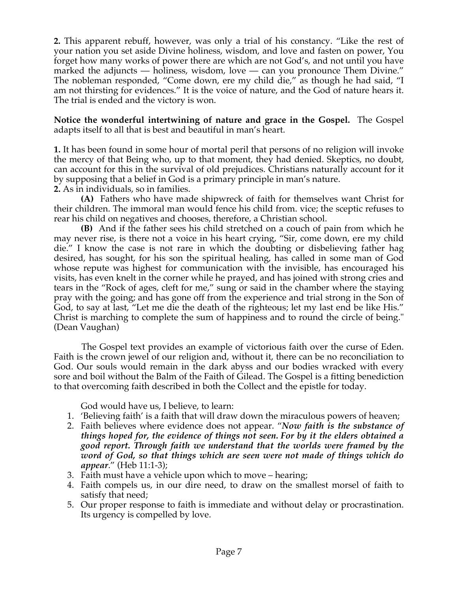**2.** This apparent rebuff, however, was only a trial of his constancy. "Like the rest of your nation you set aside Divine holiness, wisdom, and love and fasten on power, You forget how many works of power there are which are not God's, and not until you have marked the adjuncts — holiness, wisdom, love — can you pronounce Them Divine." The nobleman responded, "Come down, ere my child die," as though he had said, "I am not thirsting for evidences." It is the voice of nature, and the God of nature hears it. The trial is ended and the victory is won.

**Notice the wonderful intertwining of nature and grace in the Gospel.** The Gospel adapts itself to all that is best and beautiful in man's heart.

**1.** It has been found in some hour of mortal peril that persons of no religion will invoke the mercy of that Being who, up to that moment, they had denied. Skeptics, no doubt, can account for this in the survival of old prejudices. Christians naturally account for it by supposing that a belief in God is a primary principle in man's nature.

**2.** As in individuals, so in families.

**(A)** Fathers who have made shipwreck of faith for themselves want Christ for their children. The immoral man would fence his child from. vice; the sceptic refuses to rear his child on negatives and chooses, therefore, a Christian school.

**(B)** And if the father sees his child stretched on a couch of pain from which he may never rise, is there not a voice in his heart crying, "Sir, come down, ere my child die." I know the case is not rare in which the doubting or disbelieving father hag desired, has sought, for his son the spiritual healing, has called in some man of God whose repute was highest for communication with the invisible, has encouraged his visits, has even knelt in the corner while he prayed, and has joined with strong cries and tears in the "Rock of ages, cleft for me," sung or said in the chamber where the staying pray with the going; and has gone off from the experience and trial strong in the Son of God, to say at last, "Let me die the death of the righteous; let my last end be like His." Christ is marching to complete the sum of happiness and to round the circle of being." (Dean Vaughan)

 The Gospel text provides an example of victorious faith over the curse of Eden. Faith is the crown jewel of our religion and, without it, there can be no reconciliation to God. Our souls would remain in the dark abyss and our bodies wracked with every sore and boil without the Balm of the Faith of Gilead. The Gospel is a fitting benediction to that overcoming faith described in both the Collect and the epistle for today.

God would have us, I believe, to learn:

- 1. 'Believing faith' is a faith that will draw down the miraculous powers of heaven;
- 2. Faith believes where evidence does not appear. "*Now faith is the substance of things hoped for, the evidence of things not seen. For by it the elders obtained a good report. Through faith we understand that the worlds were framed by the word of God, so that things which are seen were not made of things which do appear*." (Heb 11:1-3);
- 3. Faith must have a vehicle upon which to move hearing;
- 4. Faith compels us, in our dire need, to draw on the smallest morsel of faith to satisfy that need;
- 5. Our proper response to faith is immediate and without delay or procrastination. Its urgency is compelled by love.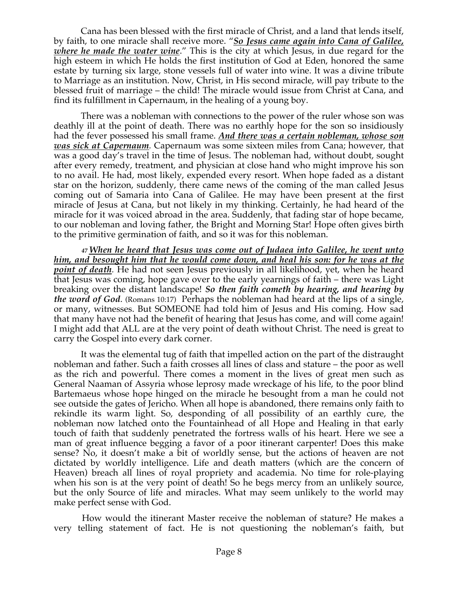Cana has been blessed with the first miracle of Christ, and a land that lends itself, by faith, to one miracle shall receive more. "*So Jesus came again into Cana of Galilee, where he made the water wine*." This is the city at which Jesus, in due regard for the high esteem in which He holds the first institution of God at Eden, honored the same estate by turning six large, stone vessels full of water into wine. It was a divine tribute to Marriage as an institution. Now, Christ, in His second miracle, will pay tribute to the blessed fruit of marriage – the child! The miracle would issue from Christ at Cana, and find its fulfillment in Capernaum, in the healing of a young boy.

 There was a nobleman with connections to the power of the ruler whose son was deathly ill at the point of death. There was no earthly hope for the son so insidiously had the fever possessed his small frame. *And there was a certain nobleman, whose son was sick at Capernaum.* Capernaum was some sixteen miles from Cana; however, that was a good day's travel in the time of Jesus. The nobleman had, without doubt, sought after every remedy, treatment, and physician at close hand who might improve his son to no avail. He had, most likely, expended every resort. When hope faded as a distant star on the horizon, suddenly, there came news of the coming of the man called Jesus coming out of Samaria into Cana of Galilee. He may have been present at the first miracle of Jesus at Cana, but not likely in my thinking. Certainly, he had heard of the miracle for it was voiced abroad in the area. Suddenly, that fading star of hope became, to our nobleman and loving father, the Bright and Morning Star! Hope often gives birth to the primitive germination of faith, and so it was for this nobleman.

 *<sup>47</sup> When he heard that Jesus was come out of Judaea into Galilee, he went unto him, and besought him that he would come down, and heal his son: for he was at the point of death.* He had not seen Jesus previously in all likelihood, yet, when he heard that Jesus was coming, hope gave over to the early yearnings of faith – there was Light breaking over the distant landscape! *So then faith cometh by hearing, and hearing by the word of God*. (Romans 10:17) Perhaps the nobleman had heard at the lips of a single, or many, witnesses. But SOMEONE had told him of Jesus and His coming. How sad that many have not had the benefit of hearing that Jesus has come, and will come again! I might add that ALL are at the very point of death without Christ. The need is great to carry the Gospel into every dark corner.

 It was the elemental tug of faith that impelled action on the part of the distraught nobleman and father. Such a faith crosses all lines of class and stature – the poor as well as the rich and powerful. There comes a moment in the lives of great men such as General Naaman of Assyria whose leprosy made wreckage of his life, to the poor blind Bartemaeus whose hope hinged on the miracle he besought from a man he could not see outside the gates of Jericho. When all hope is abandoned, there remains only faith to rekindle its warm light. So, desponding of all possibility of an earthly cure, the nobleman now latched onto the Fountainhead of all Hope and Healing in that early touch of faith that suddenly penetrated the fortress walls of his heart. Here we see a man of great influence begging a favor of a poor itinerant carpenter! Does this make sense? No, it doesn't make a bit of worldly sense, but the actions of heaven are not dictated by worldly intelligence. Life and death matters (which are the concern of Heaven) breach all lines of royal propriety and academia. No time for role-playing when his son is at the very point of death! So he begs mercy from an unlikely source, but the only Source of life and miracles. What may seem unlikely to the world may make perfect sense with God.

 How would the itinerant Master receive the nobleman of stature? He makes a very telling statement of fact. He is not questioning the nobleman's faith, but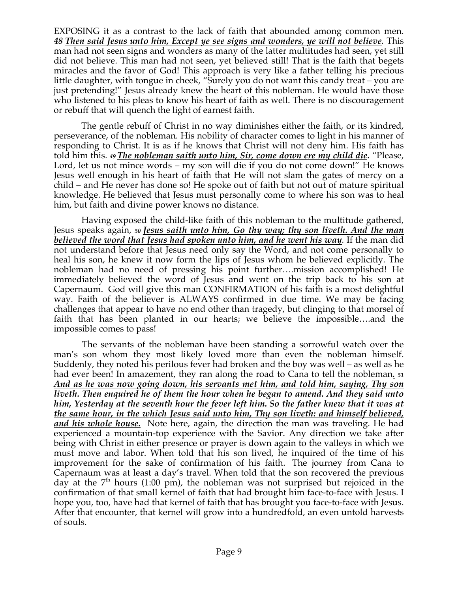EXPOSING it as a contrast to the lack of faith that abounded among common men. *48 Then said Jesus unto him, Except ye see signs and wonders, ye will not believe.* This man had not seen signs and wonders as many of the latter multitudes had seen, yet still did not believe. This man had not seen, yet believed still! That is the faith that begets miracles and the favor of God! This approach is very like a father telling his precious little daughter, with tongue in cheek, "Surely you do not want this candy treat – you are just pretending!" Jesus already knew the heart of this nobleman. He would have those who listened to his pleas to know his heart of faith as well. There is no discouragement or rebuff that will quench the light of earnest faith.

 The gentle rebuff of Christ in no way diminishes either the faith, or its kindred, perseverance, of the nobleman. His nobility of character comes to light in his manner of responding to Christ. It is as if he knows that Christ will not deny him. His faith has told him this. *<sup>49</sup> The nobleman saith unto him, Sir, come down ere my child die.* "Please, Lord, let us not mince words – my son will die if you do not come down!" He knows Jesus well enough in his heart of faith that He will not slam the gates of mercy on a child – and He never has done so! He spoke out of faith but not out of mature spiritual knowledge. He believed that Jesus must personally come to where his son was to heal him, but faith and divine power knows no distance.

 Having exposed the child-like faith of this nobleman to the multitude gathered, Jesus speaks again, *<sup>50</sup> Jesus saith unto him, Go thy way; thy son liveth. And the man believed the word that Jesus had spoken unto him, and he went his way.* If the man did not understand before that Jesus need only say the Word, and not come personally to heal his son, he knew it now form the lips of Jesus whom he believed explicitly. The nobleman had no need of pressing his point further….mission accomplished! He immediately believed the word of Jesus and went on the trip back to his son at Capernaum. God will give this man CONFIRMATION of his faith is a most delightful way. Faith of the believer is ALWAYS confirmed in due time. We may be facing challenges that appear to have no end other than tragedy, but clinging to that morsel of faith that has been planted in our hearts; we believe the impossible….and the impossible comes to pass!

 The servants of the nobleman have been standing a sorrowful watch over the man's son whom they most likely loved more than even the nobleman himself. Suddenly, they noted his perilous fever had broken and the boy was well – as well as he had ever been! In amazement, they ran along the road to Cana to tell the nobleman*. <sup>51</sup> And as he was now going down, his servants met him, and told him, saying, Thy son liveth. Then enquired he of them the hour when he began to amend. And they said unto him, Yesterday at the seventh hour the fever left him. So the father knew that it was at the same hour, in the which Jesus said unto him, Thy son liveth: and himself believed, and his whole house.* Note here, again, the direction the man was traveling. He had experienced a mountain-top experience with the Savior. Any direction we take after being with Christ in either presence or prayer is down again to the valleys in which we must move and labor. When told that his son lived, he inquired of the time of his improvement for the sake of confirmation of his faith. The journey from Cana to Capernaum was at least a day's travel. When told that the son recovered the previous day at the  $7<sup>th</sup>$  hours (1:00 pm), the nobleman was not surprised but rejoiced in the confirmation of that small kernel of faith that had brought him face-to-face with Jesus. I hope you, too, have had that kernel of faith that has brought you face-to-face with Jesus. After that encounter, that kernel will grow into a hundredfold, an even untold harvests of souls.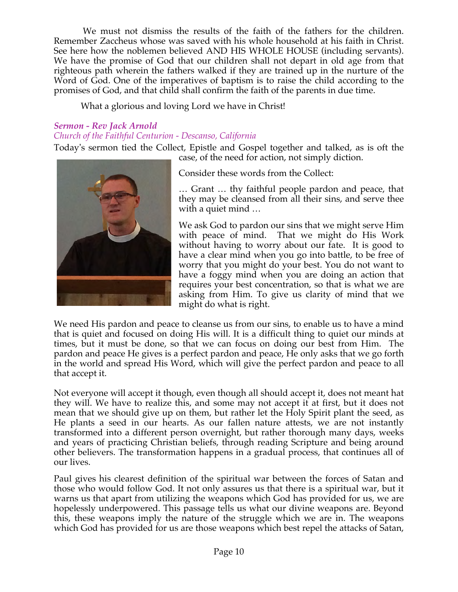We must not dismiss the results of the faith of the fathers for the children. Remember Zaccheus whose was saved with his whole household at his faith in Christ. See here how the noblemen believed AND HIS WHOLE HOUSE (including servants). We have the promise of God that our children shall not depart in old age from that righteous path wherein the fathers walked if they are trained up in the nurture of the Word of God. One of the imperatives of baptism is to raise the child according to the promises of God, and that child shall confirm the faith of the parents in due time.

What a glorious and loving Lord we have in Christ!

# *Sermon - Rev Jack Arnold Church of the Faithful Centurion - Descanso, California*

Today's sermon tied the Collect, Epistle and Gospel together and talked, as is oft the case, of the need for action, not simply diction.



Consider these words from the Collect:

… Grant … thy faithful people pardon and peace, that they may be cleansed from all their sins, and serve thee with a quiet mind …

We ask God to pardon our sins that we might serve Him with peace of mind. That we might do His Work without having to worry about our fate. It is good to have a clear mind when you go into battle, to be free of worry that you might do your best. You do not want to have a foggy mind when you are doing an action that requires your best concentration, so that is what we are asking from Him. To give us clarity of mind that we might do what is right.

We need His pardon and peace to cleanse us from our sins, to enable us to have a mind that is quiet and focused on doing His will. It is a difficult thing to quiet our minds at times, but it must be done, so that we can focus on doing our best from Him. The pardon and peace He gives is a perfect pardon and peace, He only asks that we go forth in the world and spread His Word, which will give the perfect pardon and peace to all that accept it.

Not everyone will accept it though, even though all should accept it, does not meant hat they will. We have to realize this, and some may not accept it at first, but it does not mean that we should give up on them, but rather let the Holy Spirit plant the seed, as He plants a seed in our hearts. As our fallen nature attests, we are not instantly transformed into a different person overnight, but rather thorough many days, weeks and years of practicing Christian beliefs, through reading Scripture and being around other believers. The transformation happens in a gradual process, that continues all of our lives.

Paul gives his clearest definition of the spiritual war between the forces of Satan and those who would follow God. It not only assures us that there is a spiritual war, but it warns us that apart from utilizing the weapons which God has provided for us, we are hopelessly underpowered. This passage tells us what our divine weapons are. Beyond this, these weapons imply the nature of the struggle which we are in. The weapons which God has provided for us are those weapons which best repel the attacks of Satan,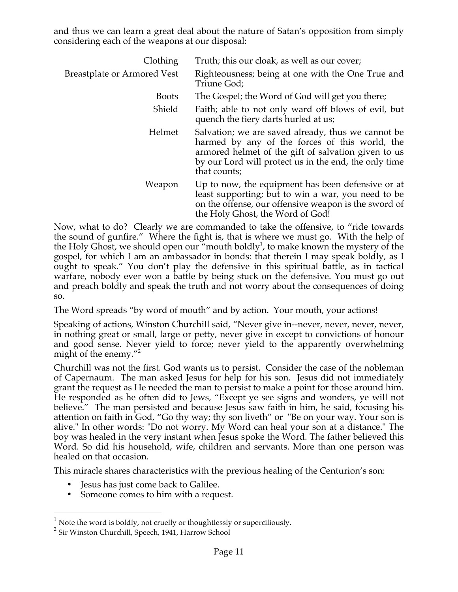and thus we can learn a great deal about the nature of Satan's opposition from simply considering each of the weapons at our disposal:

| Clothing                           | Truth; this our cloak, as well as our cover;                                                                                                                                                                                         |
|------------------------------------|--------------------------------------------------------------------------------------------------------------------------------------------------------------------------------------------------------------------------------------|
| <b>Breastplate or Armored Vest</b> | Righteousness; being at one with the One True and<br>Triune God;                                                                                                                                                                     |
| <b>Boots</b>                       | The Gospel; the Word of God will get you there;                                                                                                                                                                                      |
| Shield                             | Faith; able to not only ward off blows of evil, but<br>quench the fiery darts hurled at us;                                                                                                                                          |
| Helmet                             | Salvation; we are saved already, thus we cannot be<br>harmed by any of the forces of this world, the<br>armored helmet of the gift of salvation given to us<br>by our Lord will protect us in the end, the only time<br>that counts; |
| Weapon                             | Up to now, the equipment has been defensive or at<br>least supporting; but to win a war, you need to be<br>on the offense, our offensive weapon is the sword of<br>the Holy Ghost, the Word of God!                                  |

Now, what to do? Clearly we are commanded to take the offensive, to "ride towards the sound of gunfire." Where the fight is, that is where we must go. With the help of the Holy Ghost, we should open our "mouth boldly<sup>1</sup>, to make known the mystery of the gospel, for which I am an ambassador in bonds: that therein I may speak boldly, as I ought to speak." You don't play the defensive in this spiritual battle, as in tactical warfare, nobody ever won a battle by being stuck on the defensive. You must go out and preach boldly and speak the truth and not worry about the consequences of doing so.

The Word spreads "by word of mouth" and by action. Your mouth, your actions!

Speaking of actions, Winston Churchill said, "Never give in--never, never, never, never, in nothing great or small, large or petty, never give in except to convictions of honour and good sense. Never yield to force; never yield to the apparently overwhelming might of the enemy."2

Churchill was not the first. God wants us to persist. Consider the case of the nobleman of Capernaum. The man asked Jesus for help for his son. Jesus did not immediately grant the request as He needed the man to persist to make a point for those around him. He responded as he often did to Jews, "Except ye see signs and wonders, ye will not believe." The man persisted and because Jesus saw faith in him, he said, focusing his attention on faith in God, "Go thy way; thy son liveth" or "Be on your way. Your son is alive." In other words: "Do not worry. My Word can heal your son at a distance." The boy was healed in the very instant when Jesus spoke the Word. The father believed this Word. So did his household, wife, children and servants. More than one person was healed on that occasion.

This miracle shares characteristics with the previous healing of the Centurion's son:

- Jesus has just come back to Galilee.
- Someone comes to him with a request.

 $1$  Note the word is boldly, not cruelly or thoughtlessly or superciliously.

<sup>&</sup>lt;sup>2</sup> Sir Winston Churchill, Speech, 1941, Harrow School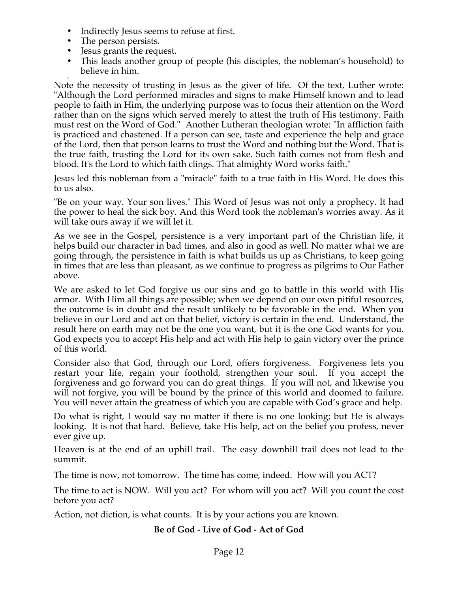- Indirectly Jesus seems to refuse at first.
- The person persists.
- Jesus grants the request.
- This leads another group of people (his disciples, the nobleman's household) to believe in him.

• Note the necessity of trusting in Jesus as the giver of life. Of the text, Luther wrote: "Although the Lord performed miracles and signs to make Himself known and to lead people to faith in Him, the underlying purpose was to focus their attention on the Word rather than on the signs which served merely to attest the truth of His testimony. Faith must rest on the Word of God." Another Lutheran theologian wrote: "In affliction faith is practiced and chastened. If a person can see, taste and experience the help and grace of the Lord, then that person learns to trust the Word and nothing but the Word. That is the true faith, trusting the Lord for its own sake. Such faith comes not from flesh and blood. It's the Lord to which faith clings. That almighty Word works faith."

Jesus led this nobleman from a "miracle" faith to a true faith in His Word. He does this to us also.

"Be on your way. Your son lives." This Word of Jesus was not only a prophecy. It had the power to heal the sick boy. And this Word took the nobleman's worries away. As it will take ours away if we will let it.

As we see in the Gospel, persistence is a very important part of the Christian life, it helps build our character in bad times, and also in good as well. No matter what we are going through, the persistence in faith is what builds us up as Christians, to keep going in times that are less than pleasant, as we continue to progress as pilgrims to Our Father above.

We are asked to let God forgive us our sins and go to battle in this world with His armor. With Him all things are possible; when we depend on our own pitiful resources, the outcome is in doubt and the result unlikely to be favorable in the end. When you believe in our Lord and act on that belief, victory is certain in the end. Understand, the result here on earth may not be the one you want, but it is the one God wants for you. God expects you to accept His help and act with His help to gain victory over the prince of this world.

Consider also that God, through our Lord, offers forgiveness. Forgiveness lets you restart your life, regain your foothold, strengthen your soul. If you accept the forgiveness and go forward you can do great things. If you will not, and likewise you will not forgive, you will be bound by the prince of this world and doomed to failure. You will never attain the greatness of which you are capable with God's grace and help.

Do what is right, I would say no matter if there is no one looking; but He is always looking. It is not that hard. Believe, take His help, act on the belief you profess, never ever give up.

Heaven is at the end of an uphill trail. The easy downhill trail does not lead to the summit.

The time is now, not tomorrow. The time has come, indeed. How will you ACT?

The time to act is NOW. Will you act? For whom will you act? Will you count the cost before you act?

Action, not diction, is what counts. It is by your actions you are known.

# **Be of God - Live of God - Act of God**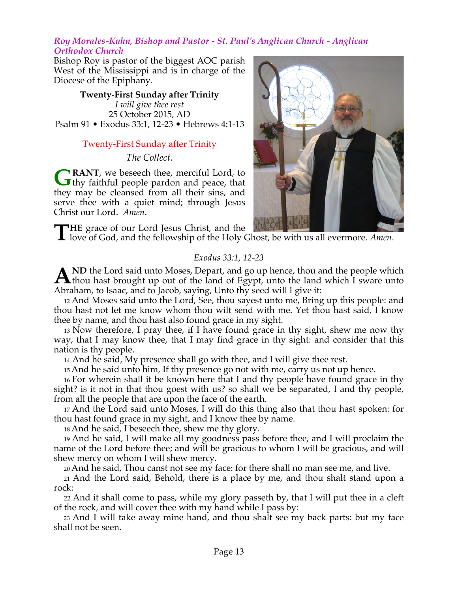#### *Roy Morales-Kuhn, Bishop and Pastor - St. Paul's Anglican Church - Anglican Orthodox Church*

Bishop Roy is pastor of the biggest AOC parish West of the Mississippi and is in charge of the Diocese of the Epiphany.

**Twenty-First Sunday after Trinity** *I will give thee rest* 25 October 2015, AD Psalm 91 • Exodus 33:1, 12-23 • Hebrews 4:1-13

# Twenty-First Sunday after Trinity

*The Collect.*

**RANT**, we beseech thee, merciful Lord, to **GRANT**, we beseech thee, merciful Lord, to thy faithful people pardon and peace, that they may be cleansed from all their sins, and serve thee with a quiet mind; through Jesus Christ our Lord. *Amen*.

THE grace of our Lord Jesus Christ, and the love of God, and the fellowship of the Holy C love of God, and the fellowship of the Holy Ghost, be with us all evermore. *Amen*.

# *Exodus 33:1, 12-23*

ND the Lord said unto Moses, Depart, and go up hence, thou and the people which A ND the Lord said unto Moses, Depart, and go up hence, thou and the people which thou hast brought up out of the land of Egypt, unto the land which I sware unto Abraham, to Isaac, and to Jacob, saying, Unto thy seed will I give it:

12 And Moses said unto the Lord, See, thou sayest unto me, Bring up this people: and thou hast not let me know whom thou wilt send with me. Yet thou hast said, I know thee by name, and thou hast also found grace in my sight.

13 Now therefore, I pray thee, if I have found grace in thy sight, shew me now thy way, that I may know thee, that I may find grace in thy sight: and consider that this nation is thy people.

<sup>14</sup> And he said, My presence shall go with thee, and I will give thee rest.

15 And he said unto him, If thy presence go not with me, carry us not up hence.

16 For wherein shall it be known here that I and thy people have found grace in thy sight? is it not in that thou goest with us? so shall we be separated, I and thy people, from all the people that are upon the face of the earth.

17 And the Lord said unto Moses, I will do this thing also that thou hast spoken: for thou hast found grace in my sight, and I know thee by name.

18 And he said, I beseech thee, shew me thy glory.

19 And he said, I will make all my goodness pass before thee, and I will proclaim the name of the Lord before thee; and will be gracious to whom I will be gracious, and will shew mercy on whom I will shew mercy.

20 And he said, Thou canst not see my face: for there shall no man see me, and live.

21 And the Lord said, Behold, there is a place by me, and thou shalt stand upon a rock:

22 And it shall come to pass, while my glory passeth by, that I will put thee in a cleft of the rock, and will cover thee with my hand while I pass by:

23 And I will take away mine hand, and thou shalt see my back parts: but my face shall not be seen.

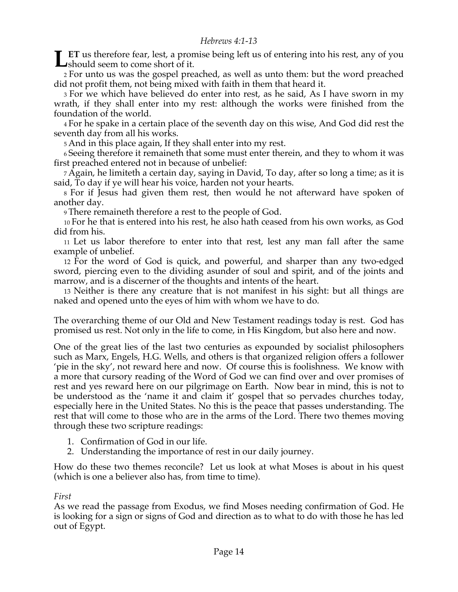**ET** us therefore fear, lest, a promise being left us of entering into his rest, any of you **LET** us therefore fear, lest, a pror<br>
should seem to come short of it.

2 For unto us was the gospel preached, as well as unto them: but the word preached did not profit them, not being mixed with faith in them that heard it.

3 For we which have believed do enter into rest, as he said, As I have sworn in my wrath, if they shall enter into my rest: although the works were finished from the foundation of the world.

4 For he spake in a certain place of the seventh day on this wise, And God did rest the seventh day from all his works.

5 And in this place again, If they shall enter into my rest.

<sup>6</sup> Seeing therefore it remaineth that some must enter therein, and they to whom it was first preached entered not in because of unbelief:

7 Again, he limiteth a certain day, saying in David, To day, after so long a time; as it is said, To day if ye will hear his voice, harden not your hearts.

8 For if Jesus had given them rest, then would he not afterward have spoken of another day.

9 There remaineth therefore a rest to the people of God.

10 For he that is entered into his rest, he also hath ceased from his own works, as God did from his.

11 Let us labor therefore to enter into that rest, lest any man fall after the same example of unbelief.

12 For the word of God is quick, and powerful, and sharper than any two-edged sword, piercing even to the dividing asunder of soul and spirit, and of the joints and marrow, and is a discerner of the thoughts and intents of the heart.

13 Neither is there any creature that is not manifest in his sight: but all things are naked and opened unto the eyes of him with whom we have to do.

The overarching theme of our Old and New Testament readings today is rest. God has promised us rest. Not only in the life to come, in His Kingdom, but also here and now.

One of the great lies of the last two centuries as expounded by socialist philosophers such as Marx, Engels, H.G. Wells, and others is that organized religion offers a follower 'pie in the sky', not reward here and now. Of course this is foolishness. We know with a more that cursory reading of the Word of God we can find over and over promises of rest and yes reward here on our pilgrimage on Earth. Now bear in mind, this is not to be understood as the 'name it and claim it' gospel that so pervades churches today, especially here in the United States. No this is the peace that passes understanding. The rest that will come to those who are in the arms of the Lord. There two themes moving through these two scripture readings:

- 1. Confirmation of God in our life.
- 2. Understanding the importance of rest in our daily journey.

How do these two themes reconcile? Let us look at what Moses is about in his quest (which is one a believer also has, from time to time).

*First*

As we read the passage from Exodus, we find Moses needing confirmation of God. He is looking for a sign or signs of God and direction as to what to do with those he has led out of Egypt.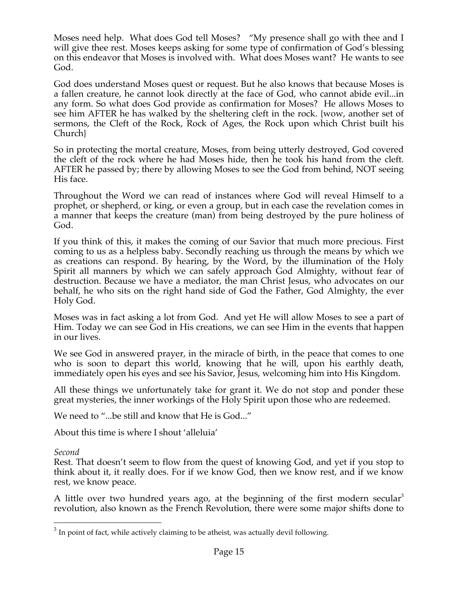Moses need help. What does God tell Moses? "My presence shall go with thee and I will give thee rest. Moses keeps asking for some type of confirmation of God's blessing on this endeavor that Moses is involved with. What does Moses want? He wants to see God.

God does understand Moses quest or request. But he also knows that because Moses is a fallen creature, he cannot look directly at the face of God, who cannot abide evil...in any form. So what does God provide as confirmation for Moses? He allows Moses to see him AFTER he has walked by the sheltering cleft in the rock. {wow, another set of sermons, the Cleft of the Rock, Rock of Ages, the Rock upon which Christ built his Church}

So in protecting the mortal creature, Moses, from being utterly destroyed, God covered the cleft of the rock where he had Moses hide, then he took his hand from the cleft. AFTER he passed by; there by allowing Moses to see the God from behind, NOT seeing His face.

Throughout the Word we can read of instances where God will reveal Himself to a prophet, or shepherd, or king, or even a group, but in each case the revelation comes in a manner that keeps the creature (man) from being destroyed by the pure holiness of God.

If you think of this, it makes the coming of our Savior that much more precious. First coming to us as a helpless baby. Secondly reaching us through the means by which we as creations can respond. By hearing, by the Word, by the illumination of the Holy Spirit all manners by which we can safely approach God Almighty, without fear of destruction. Because we have a mediator, the man Christ Jesus, who advocates on our behalf, he who sits on the right hand side of God the Father, God Almighty, the ever Holy God.

Moses was in fact asking a lot from God. And yet He will allow Moses to see a part of Him. Today we can see God in His creations, we can see Him in the events that happen in our lives.

We see God in answered prayer, in the miracle of birth, in the peace that comes to one who is soon to depart this world, knowing that he will, upon his earthly death, immediately open his eyes and see his Savior, Jesus, welcoming him into His Kingdom.

All these things we unfortunately take for grant it. We do not stop and ponder these great mysteries, the inner workings of the Holy Spirit upon those who are redeemed.

We need to "...be still and know that He is God..."

About this time is where I shout 'alleluia'

*Second*

Rest. That doesn't seem to flow from the quest of knowing God, and yet if you stop to think about it, it really does. For if we know God, then we know rest, and if we know rest, we know peace.

A little over two hundred years ago, at the beginning of the first modern secular<sup>3</sup> revolution, also known as the French Revolution, there were some major shifts done to

 $3$  In point of fact, while actively claiming to be atheist, was actually devil following.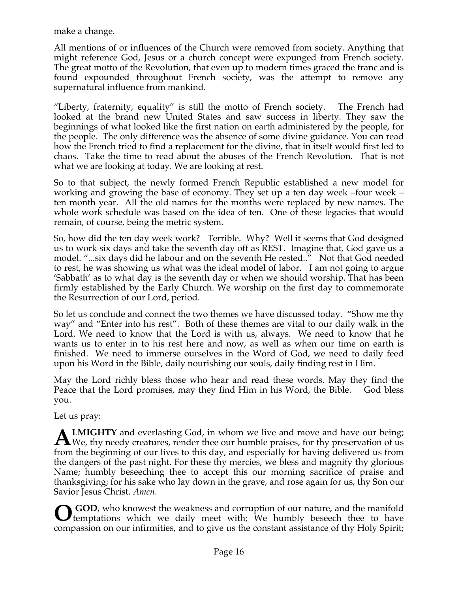make a change.

All mentions of or influences of the Church were removed from society. Anything that might reference God, Jesus or a church concept were expunged from French society. The great motto of the Revolution, that even up to modern times graced the franc and is found expounded throughout French society, was the attempt to remove any supernatural influence from mankind.

"Liberty, fraternity, equality" is still the motto of French society. The French had looked at the brand new United States and saw success in liberty. They saw the beginnings of what looked like the first nation on earth administered by the people, for the people. The only difference was the absence of some divine guidance. You can read how the French tried to find a replacement for the divine, that in itself would first led to chaos. Take the time to read about the abuses of the French Revolution. That is not what we are looking at today. We are looking at rest.

So to that subject, the newly formed French Republic established a new model for working and growing the base of economy. They set up a ten day week –four week – ten month year. All the old names for the months were replaced by new names. The whole work schedule was based on the idea of ten. One of these legacies that would remain, of course, being the metric system.

So, how did the ten day week work? Terrible. Why? Well it seems that God designed us to work six days and take the seventh day off as REST. Imagine that, God gave us a model. "...six days did he labour and on the seventh He rested.." Not that God needed to rest, he was showing us what was the ideal model of labor. I am not going to argue 'Sabbath' as to what day is the seventh day or when we should worship. That has been firmly established by the Early Church. We worship on the first day to commemorate the Resurrection of our Lord, period.

So let us conclude and connect the two themes we have discussed today. "Show me thy way" and "Enter into his rest". Both of these themes are vital to our daily walk in the Lord. We need to know that the Lord is with us, always. We need to know that he wants us to enter in to his rest here and now, as well as when our time on earth is finished. We need to immerse ourselves in the Word of God, we need to daily feed upon his Word in the Bible, daily nourishing our souls, daily finding rest in Him.

May the Lord richly bless those who hear and read these words. May they find the Peace that the Lord promises, may they find Him in his Word, the Bible. God bless you.

Let us pray:

**LMIGHTY** and everlasting God, in whom we live and move and have our being; **ALMIGHTY** and everlasting God, in whom we live and move and have our being;<br>We, thy needy creatures, render thee our humble praises, for thy preservation of us from the beginning of our lives to this day, and especially for having delivered us from the dangers of the past night. For these thy mercies, we bless and magnify thy glorious Name; humbly beseeching thee to accept this our morning sacrifice of praise and thanksgiving; for his sake who lay down in the grave, and rose again for us, thy Son our Savior Jesus Christ. *Amen*.

 **GOD**, who knowest the weakness and corruption of our nature, and the manifold temptations which we daily meet with; We humbly beseech thee to have compassion on our infirmities, and to give us the constant assistance of thy Holy Spirit; **O**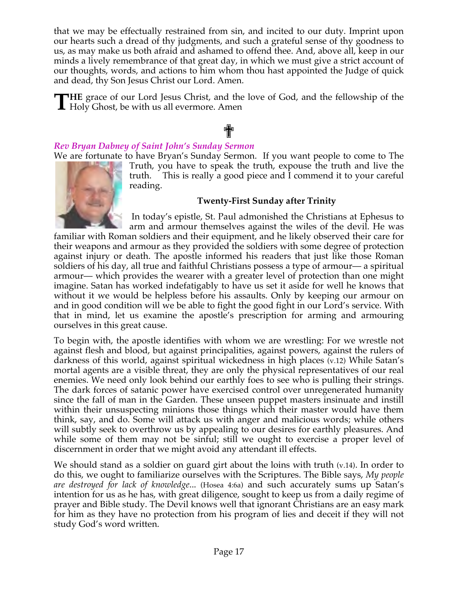that we may be effectually restrained from sin, and incited to our duty. Imprint upon our hearts such a dread of thy judgments, and such a grateful sense of thy goodness to us, as may make us both afraid and ashamed to offend thee. And, above all, keep in our minds a lively remembrance of that great day, in which we must give a strict account of our thoughts, words, and actions to him whom thou hast appointed the Judge of quick and dead, thy Son Jesus Christ our Lord. Amen.

**HE** grace of our Lord Jesus Christ, and the love of God, and the fellowship of the **THE** grace of our Lord Jesus Christ, and the Holy Ghost, be with us all evermore. Amen

# ✟ *Rev Bryan Dabney of Saint John's Sunday Sermon*

We are fortunate to have Bryan's Sunday Sermon. If you want people to come to The



Truth, you have to speak the truth, expouse the truth and live the truth. This is really a good piece and I commend it to your careful reading.

# **Twenty-First Sunday after Trinity**

In today's epistle, St. Paul admonished the Christians at Ephesus to arm and armour themselves against the wiles of the devil. He was

familiar with Roman soldiers and their equipment, and he likely observed their care for their weapons and armour as they provided the soldiers with some degree of protection against injury or death. The apostle informed his readers that just like those Roman soldiers of his day, all true and faithful Christians possess a type of armour— a spiritual armour— which provides the wearer with a greater level of protection than one might imagine. Satan has worked indefatigably to have us set it aside for well he knows that without it we would be helpless before his assaults. Only by keeping our armour on and in good condition will we be able to fight the good fight in our Lord's service. With that in mind, let us examine the apostle's prescription for arming and armouring ourselves in this great cause.

To begin with, the apostle identifies with whom we are wrestling: For we wrestle not against flesh and blood, but against principalities, against powers, against the rulers of darkness of this world, against spiritual wickedness in high places (v.12) While Satan's mortal agents are a visible threat, they are only the physical representatives of our real enemies. We need only look behind our earthly foes to see who is pulling their strings. The dark forces of satanic power have exercised control over unregenerated humanity since the fall of man in the Garden. These unseen puppet masters insinuate and instill within their unsuspecting minions those things which their master would have them think, say, and do. Some will attack us with anger and malicious words; while others will subtly seek to overthrow us by appealing to our desires for earthly pleasures. And while some of them may not be sinful; still we ought to exercise a proper level of discernment in order that we might avoid any attendant ill effects.

We should stand as a soldier on guard girt about the loins with truth (v.14). In order to do this, we ought to familiarize ourselves with the Scriptures. The Bible says, *My people are destroyed for lack of knowledge*... (Hosea 4:6a) and such accurately sums up Satan's intention for us as he has, with great diligence, sought to keep us from a daily regime of prayer and Bible study. The Devil knows well that ignorant Christians are an easy mark for him as they have no protection from his program of lies and deceit if they will not study God's word written.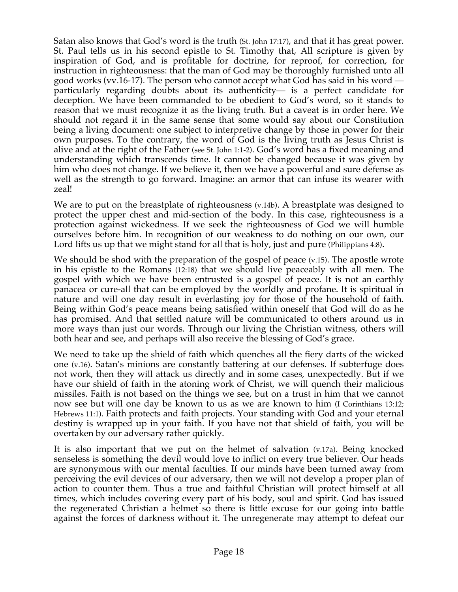Satan also knows that God's word is the truth (St. John 17:17), and that it has great power. St. Paul tells us in his second epistle to St. Timothy that, All scripture is given by inspiration of God, and is profitable for doctrine, for reproof, for correction, for instruction in righteousness: that the man of God may be thoroughly furnished unto all good works (vv.16-17). The person who cannot accept what God has said in his word particularly regarding doubts about its authenticity— is a perfect candidate for deception. We have been commanded to be obedient to God's word, so it stands to reason that we must recognize it as the living truth. But a caveat is in order here. We should not regard it in the same sense that some would say about our Constitution being a living document: one subject to interpretive change by those in power for their own purposes. To the contrary, the word of God is the living truth as Jesus Christ is alive and at the right of the Father (see St. John 1:1-2). God's word has a fixed meaning and understanding which transcends time. It cannot be changed because it was given by him who does not change. If we believe it, then we have a powerful and sure defense as well as the strength to go forward. Imagine: an armor that can infuse its wearer with zeal!

We are to put on the breastplate of righteousness (v.14b). A breastplate was designed to protect the upper chest and mid-section of the body. In this case, righteousness is a protection against wickedness. If we seek the righteousness of God we will humble ourselves before him. In recognition of our weakness to do nothing on our own, our Lord lifts us up that we might stand for all that is holy, just and pure (Philippians 4:8).

We should be shod with the preparation of the gospel of peace (v.15). The apostle wrote in his epistle to the Romans (12:18) that we should live peaceably with all men. The gospel with which we have been entrusted is a gospel of peace. It is not an earthly panacea or cure-all that can be employed by the worldly and profane. It is spiritual in nature and will one day result in everlasting joy for those of the household of faith. Being within God's peace means being satisfied within oneself that God will do as he has promised. And that settled nature will be communicated to others around us in more ways than just our words. Through our living the Christian witness, others will both hear and see, and perhaps will also receive the blessing of God's grace.

We need to take up the shield of faith which quenches all the fiery darts of the wicked one (v.16). Satan's minions are constantly battering at our defenses. If subterfuge does not work, then they will attack us directly and in some cases, unexpectedly. But if we have our shield of faith in the atoning work of Christ, we will quench their malicious missiles. Faith is not based on the things we see, but on a trust in him that we cannot now see but will one day be known to us as we are known to him (I Corinthians 13:12; Hebrews 11:1). Faith protects and faith projects. Your standing with God and your eternal destiny is wrapped up in your faith. If you have not that shield of faith, you will be overtaken by our adversary rather quickly.

It is also important that we put on the helmet of salvation (v.17a). Being knocked senseless is something the devil would love to inflict on every true believer. Our heads are synonymous with our mental faculties. If our minds have been turned away from perceiving the evil devices of our adversary, then we will not develop a proper plan of action to counter them. Thus a true and faithful Christian will protect himself at all times, which includes covering every part of his body, soul and spirit. God has issued the regenerated Christian a helmet so there is little excuse for our going into battle against the forces of darkness without it. The unregenerate may attempt to defeat our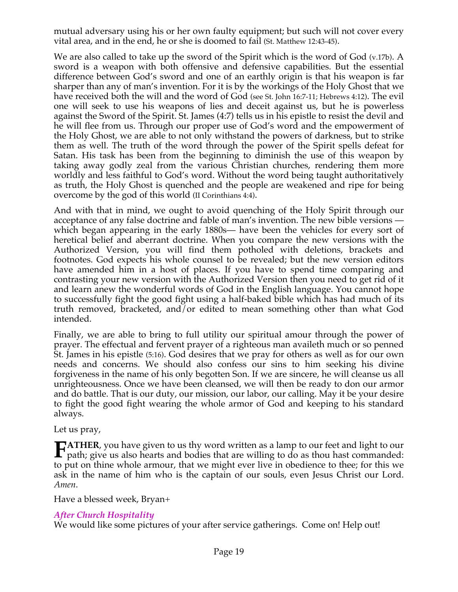mutual adversary using his or her own faulty equipment; but such will not cover every vital area, and in the end, he or she is doomed to fail (St. Matthew 12:43-45).

We are also called to take up the sword of the Spirit which is the word of God (v.17b). A sword is a weapon with both offensive and defensive capabilities. But the essential difference between God's sword and one of an earthly origin is that his weapon is far sharper than any of man's invention. For it is by the workings of the Holy Ghost that we have received both the will and the word of God (see St. John 16:7-11; Hebrews 4:12). The evil one will seek to use his weapons of lies and deceit against us, but he is powerless against the Sword of the Spirit. St. James (4:7) tells us in his epistle to resist the devil and he will flee from us. Through our proper use of God's word and the empowerment of the Holy Ghost, we are able to not only withstand the powers of darkness, but to strike them as well. The truth of the word through the power of the Spirit spells defeat for Satan. His task has been from the beginning to diminish the use of this weapon by taking away godly zeal from the various Christian churches, rendering them more worldly and less faithful to God's word. Without the word being taught authoritatively as truth, the Holy Ghost is quenched and the people are weakened and ripe for being overcome by the god of this world (II Corinthians 4:4).

And with that in mind, we ought to avoid quenching of the Holy Spirit through our acceptance of any false doctrine and fable of man's invention. The new bible versions which began appearing in the early 1880s— have been the vehicles for every sort of heretical belief and aberrant doctrine. When you compare the new versions with the Authorized Version, you will find them potholed with deletions, brackets and footnotes. God expects his whole counsel to be revealed; but the new version editors have amended him in a host of places. If you have to spend time comparing and contrasting your new version with the Authorized Version then you need to get rid of it and learn anew the wonderful words of God in the English language. You cannot hope to successfully fight the good fight using a half-baked bible which has had much of its truth removed, bracketed, and/or edited to mean something other than what God intended.

Finally, we are able to bring to full utility our spiritual amour through the power of prayer. The effectual and fervent prayer of a righteous man availeth much or so penned St. James in his epistle (5:16). God desires that we pray for others as well as for our own needs and concerns. We should also confess our sins to him seeking his divine forgiveness in the name of his only begotten Son. If we are sincere, he will cleanse us all unrighteousness. Once we have been cleansed, we will then be ready to don our armor and do battle. That is our duty, our mission, our labor, our calling. May it be your desire to fight the good fight wearing the whole armor of God and keeping to his standard always.

Let us pray,

**ATHER**, you have given to us thy word written as a lamp to our feet and light to our **FATHER**, you have given to us thy word written as a lamp to our feet and light to our path; give us also hearts and bodies that are willing to do as thou hast commanded: to put on thine whole armour, that we might ever live in obedience to thee; for this we ask in the name of him who is the captain of our souls, even Jesus Christ our Lord. *Amen*.

Have a blessed week, Bryan+

# *After Church Hospitality*

We would like some pictures of your after service gatherings. Come on! Help out!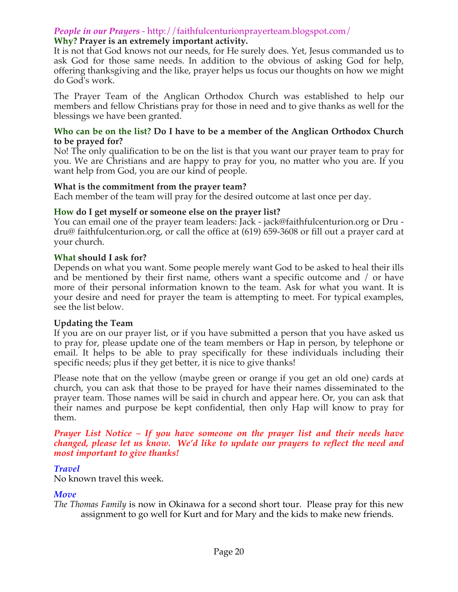# *People in our Prayers* - http://faithfulcenturionprayerteam.blogspot.com/

# **Why? Prayer is an extremely important activity.**

It is not that God knows not our needs, for He surely does. Yet, Jesus commanded us to ask God for those same needs. In addition to the obvious of asking God for help, offering thanksgiving and the like, prayer helps us focus our thoughts on how we might do God's work.

The Prayer Team of the Anglican Orthodox Church was established to help our members and fellow Christians pray for those in need and to give thanks as well for the blessings we have been granted.

#### **Who can be on the list? Do I have to be a member of the Anglican Orthodox Church to be prayed for?**

No! The only qualification to be on the list is that you want our prayer team to pray for you. We are Christians and are happy to pray for you, no matter who you are. If you want help from God, you are our kind of people.

#### **What is the commitment from the prayer team?**

Each member of the team will pray for the desired outcome at last once per day.

# **How do I get myself or someone else on the prayer list?**

You can email one of the prayer team leaders: Jack - jack@faithfulcenturion.org or Dru dru@ faithfulcenturion.org, or call the office at (619) 659-3608 or fill out a prayer card at your church.

# **What should I ask for?**

Depends on what you want. Some people merely want God to be asked to heal their ills and be mentioned by their first name, others want a specific outcome and / or have more of their personal information known to the team. Ask for what you want. It is your desire and need for prayer the team is attempting to meet. For typical examples, see the list below.

# **Updating the Team**

If you are on our prayer list, or if you have submitted a person that you have asked us to pray for, please update one of the team members or Hap in person, by telephone or email. It helps to be able to pray specifically for these individuals including their specific needs; plus if they get better, it is nice to give thanks!

Please note that on the yellow (maybe green or orange if you get an old one) cards at church, you can ask that those to be prayed for have their names disseminated to the prayer team. Those names will be said in church and appear here. Or, you can ask that their names and purpose be kept confidential, then only Hap will know to pray for them.

#### *Prayer List Notice – If you have someone on the prayer list and their needs have changed, please let us know. We'd like to update our prayers to reflect the need and most important to give thanks!*

# *Travel*

No known travel this week.

# *Move*

*The Thomas Family* is now in Okinawa for a second short tour. Please pray for this new assignment to go well for Kurt and for Mary and the kids to make new friends.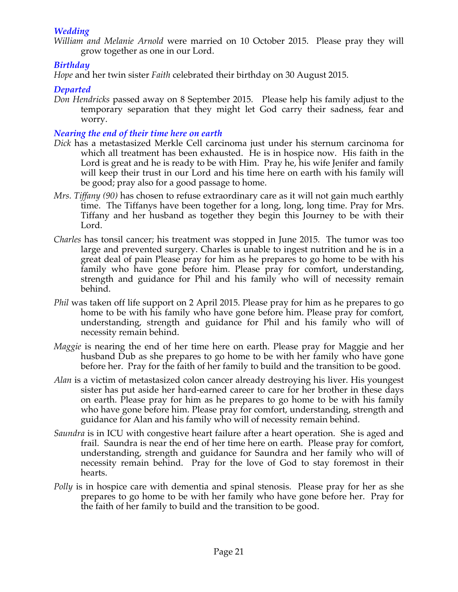# *Wedding*

*William and Melanie Arnold* were married on 10 October 2015. Please pray they will grow together as one in our Lord.

# *Birthday*

*Hope* and her twin sister *Faith* celebrated their birthday on 30 August 2015.

# *Departed*

*Don Hendricks* passed away on 8 September 2015. Please help his family adjust to the temporary separation that they might let God carry their sadness, fear and worry.

# *Nearing the end of their time here on earth*

- *Dick* has a metastasized Merkle Cell carcinoma just under his sternum carcinoma for which all treatment has been exhausted. He is in hospice now. His faith in the Lord is great and he is ready to be with Him. Pray he, his wife Jenifer and family will keep their trust in our Lord and his time here on earth with his family will be good; pray also for a good passage to home.
- *Mrs. Tiffany (90)* has chosen to refuse extraordinary care as it will not gain much earthly time. The Tiffanys have been together for a long, long, long time. Pray for Mrs. Tiffany and her husband as together they begin this Journey to be with their Lord.
- *Charles* has tonsil cancer; his treatment was stopped in June 2015. The tumor was too large and prevented surgery. Charles is unable to ingest nutrition and he is in a great deal of pain Please pray for him as he prepares to go home to be with his family who have gone before him. Please pray for comfort, understanding, strength and guidance for Phil and his family who will of necessity remain behind.
- *Phil* was taken off life support on 2 April 2015. Please pray for him as he prepares to go home to be with his family who have gone before him. Please pray for comfort, understanding, strength and guidance for Phil and his family who will of necessity remain behind.
- *Maggie* is nearing the end of her time here on earth. Please pray for Maggie and her husband Dub as she prepares to go home to be with her family who have gone before her. Pray for the faith of her family to build and the transition to be good.
- *Alan* is a victim of metastasized colon cancer already destroying his liver. His youngest sister has put aside her hard-earned career to care for her brother in these days on earth. Please pray for him as he prepares to go home to be with his family who have gone before him. Please pray for comfort, understanding, strength and guidance for Alan and his family who will of necessity remain behind.
- *Saundra* is in ICU with congestive heart failure after a heart operation. She is aged and frail. Saundra is near the end of her time here on earth. Please pray for comfort, understanding, strength and guidance for Saundra and her family who will of necessity remain behind. Pray for the love of God to stay foremost in their hearts.
- *Polly* is in hospice care with dementia and spinal stenosis. Please pray for her as she prepares to go home to be with her family who have gone before her. Pray for the faith of her family to build and the transition to be good.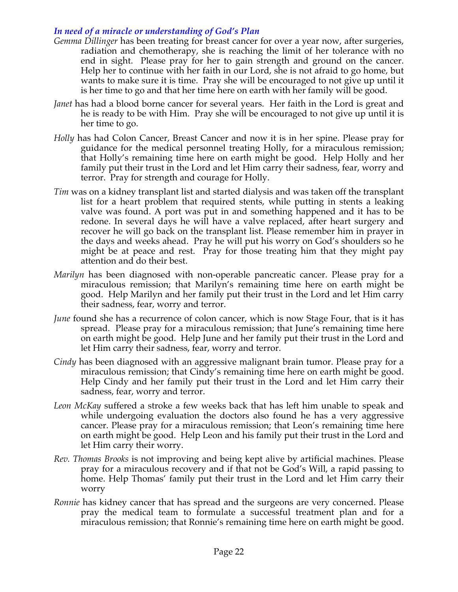# *In need of a miracle or understanding of God's Plan*

- *Gemma Dillinger* has been treating for breast cancer for over a year now, after surgeries, radiation and chemotherapy, she is reaching the limit of her tolerance with no end in sight. Please pray for her to gain strength and ground on the cancer. Help her to continue with her faith in our Lord, she is not afraid to go home, but wants to make sure it is time. Pray she will be encouraged to not give up until it is her time to go and that her time here on earth with her family will be good.
- *Janet* has had a blood borne cancer for several years. Her faith in the Lord is great and he is ready to be with Him. Pray she will be encouraged to not give up until it is her time to go.
- *Holly* has had Colon Cancer, Breast Cancer and now it is in her spine. Please pray for guidance for the medical personnel treating Holly, for a miraculous remission; that Holly's remaining time here on earth might be good. Help Holly and her family put their trust in the Lord and let Him carry their sadness, fear, worry and terror. Pray for strength and courage for Holly.
- *Tim* was on a kidney transplant list and started dialysis and was taken off the transplant list for a heart problem that required stents, while putting in stents a leaking valve was found. A port was put in and something happened and it has to be redone. In several days he will have a valve replaced, after heart surgery and recover he will go back on the transplant list. Please remember him in prayer in the days and weeks ahead. Pray he will put his worry on God's shoulders so he might be at peace and rest. Pray for those treating him that they might pay attention and do their best.
- *Marilyn* has been diagnosed with non-operable pancreatic cancer. Please pray for a miraculous remission; that Marilyn's remaining time here on earth might be good. Help Marilyn and her family put their trust in the Lord and let Him carry their sadness, fear, worry and terror.
- *June* found she has a recurrence of colon cancer, which is now Stage Four, that is it has spread. Please pray for a miraculous remission; that June's remaining time here on earth might be good. Help June and her family put their trust in the Lord and let Him carry their sadness, fear, worry and terror.
- *Cindy* has been diagnosed with an aggressive malignant brain tumor. Please pray for a miraculous remission; that Cindy's remaining time here on earth might be good. Help Cindy and her family put their trust in the Lord and let Him carry their sadness, fear, worry and terror.
- *Leon McKay* suffered a stroke a few weeks back that has left him unable to speak and while undergoing evaluation the doctors also found he has a very aggressive cancer. Please pray for a miraculous remission; that Leon's remaining time here on earth might be good. Help Leon and his family put their trust in the Lord and let Him carry their worry.
- *Rev. Thomas Brooks* is not improving and being kept alive by artificial machines. Please pray for a miraculous recovery and if that not be God's Will, a rapid passing to home. Help Thomas' family put their trust in the Lord and let Him carry their worry
- *Ronnie* has kidney cancer that has spread and the surgeons are very concerned. Please pray the medical team to formulate a successful treatment plan and for a miraculous remission; that Ronnie's remaining time here on earth might be good.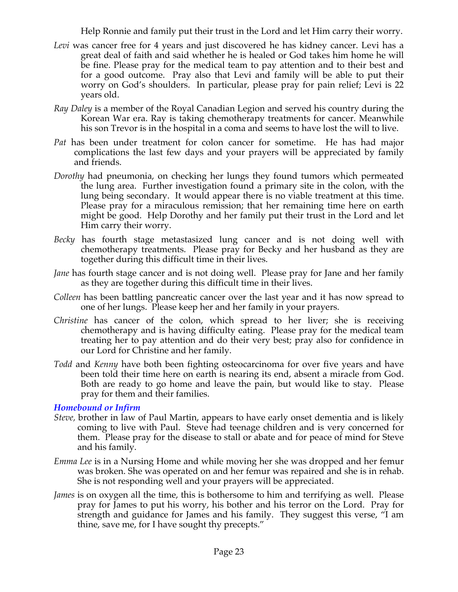Help Ronnie and family put their trust in the Lord and let Him carry their worry.

- *Levi* was cancer free for 4 years and just discovered he has kidney cancer. Levi has a great deal of faith and said whether he is healed or God takes him home he will be fine. Please pray for the medical team to pay attention and to their best and for a good outcome. Pray also that Levi and family will be able to put their worry on God's shoulders. In particular, please pray for pain relief; Levi is 22 years old.
- *Ray Daley* is a member of the Royal Canadian Legion and served his country during the Korean War era. Ray is taking chemotherapy treatments for cancer. Meanwhile his son Trevor is in the hospital in a coma and seems to have lost the will to live.
- *Pat* has been under treatment for colon cancer for sometime. He has had major complications the last few days and your prayers will be appreciated by family and friends.
- *Dorothy* had pneumonia, on checking her lungs they found tumors which permeated the lung area. Further investigation found a primary site in the colon, with the lung being secondary. It would appear there is no viable treatment at this time. Please pray for a miraculous remission; that her remaining time here on earth might be good. Help Dorothy and her family put their trust in the Lord and let Him carry their worry.
- *Becky* has fourth stage metastasized lung cancer and is not doing well with chemotherapy treatments. Please pray for Becky and her husband as they are together during this difficult time in their lives.
- *Jane* has fourth stage cancer and is not doing well. Please pray for Jane and her family as they are together during this difficult time in their lives.
- *Colleen* has been battling pancreatic cancer over the last year and it has now spread to one of her lungs. Please keep her and her family in your prayers.
- *Christine* has cancer of the colon, which spread to her liver; she is receiving chemotherapy and is having difficulty eating. Please pray for the medical team treating her to pay attention and do their very best; pray also for confidence in our Lord for Christine and her family.
- *Todd* and *Kenny* have both been fighting osteocarcinoma for over five years and have been told their time here on earth is nearing its end, absent a miracle from God. Both are ready to go home and leave the pain, but would like to stay. Please pray for them and their families.

*Homebound or Infirm*

- *Steve,* brother in law of Paul Martin, appears to have early onset dementia and is likely coming to live with Paul. Steve had teenage children and is very concerned for them. Please pray for the disease to stall or abate and for peace of mind for Steve and his family.
- *Emma Lee* is in a Nursing Home and while moving her she was dropped and her femur was broken. She was operated on and her femur was repaired and she is in rehab. She is not responding well and your prayers will be appreciated.
- *James* is on oxygen all the time, this is bothersome to him and terrifying as well. Please pray for James to put his worry, his bother and his terror on the Lord. Pray for strength and guidance for James and his family. They suggest this verse, "I am thine, save me, for I have sought thy precepts."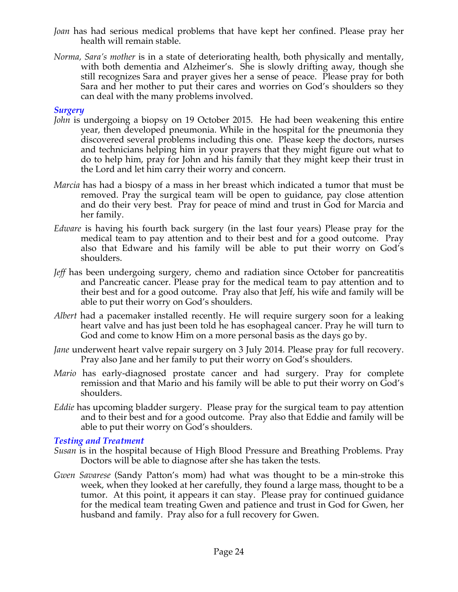- *Joan* has had serious medical problems that have kept her confined. Please pray her health will remain stable.
- *Norma, Sara's mother* is in a state of deteriorating health, both physically and mentally, with both dementia and Alzheimer's. She is slowly drifting away, though she still recognizes Sara and prayer gives her a sense of peace. Please pray for both Sara and her mother to put their cares and worries on God's shoulders so they can deal with the many problems involved.

# *Surgery*

- *John* is undergoing a biopsy on 19 October 2015. He had been weakening this entire year, then developed pneumonia. While in the hospital for the pneumonia they discovered several problems including this one. Please keep the doctors, nurses and technicians helping him in your prayers that they might figure out what to do to help him, pray for John and his family that they might keep their trust in the Lord and let him carry their worry and concern.
- *Marcia* has had a biospy of a mass in her breast which indicated a tumor that must be removed. Pray the surgical team will be open to guidance, pay close attention and do their very best. Pray for peace of mind and trust in God for Marcia and her family.
- *Edware* is having his fourth back surgery (in the last four years) Please pray for the medical team to pay attention and to their best and for a good outcome. Pray also that Edware and his family will be able to put their worry on God's shoulders.
- *Jeff* has been undergoing surgery, chemo and radiation since October for pancreatitis and Pancreatic cancer. Please pray for the medical team to pay attention and to their best and for a good outcome. Pray also that Jeff, his wife and family will be able to put their worry on God's shoulders.
- *Albert* had a pacemaker installed recently. He will require surgery soon for a leaking heart valve and has just been told he has esophageal cancer. Pray he will turn to God and come to know Him on a more personal basis as the days go by.
- *Jane* underwent heart valve repair surgery on 3 July 2014. Please pray for full recovery. Pray also Jane and her family to put their worry on God's shoulders.
- *Mario* has early-diagnosed prostate cancer and had surgery. Pray for complete remission and that Mario and his family will be able to put their worry on God's shoulders.
- *Eddie* has upcoming bladder surgery. Please pray for the surgical team to pay attention and to their best and for a good outcome. Pray also that Eddie and family will be able to put their worry on God's shoulders.

# *Testing and Treatment*

- *Susan* is in the hospital because of High Blood Pressure and Breathing Problems. Pray Doctors will be able to diagnose after she has taken the tests.
- *Gwen Savarese* (Sandy Patton's mom) had what was thought to be a min-stroke this week, when they looked at her carefully, they found a large mass, thought to be a tumor. At this point, it appears it can stay. Please pray for continued guidance for the medical team treating Gwen and patience and trust in God for Gwen, her husband and family. Pray also for a full recovery for Gwen.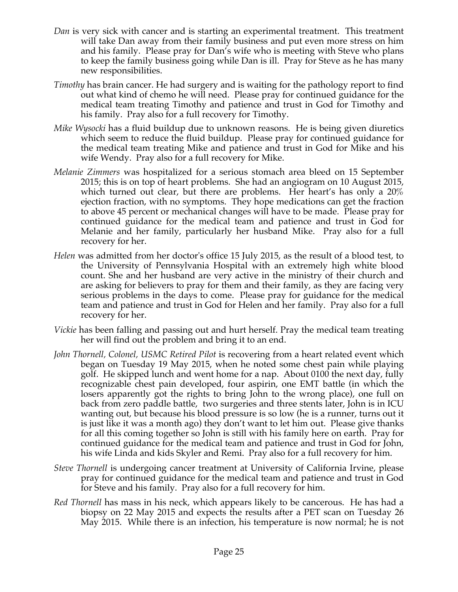- *Dan* is very sick with cancer and is starting an experimental treatment. This treatment will take Dan away from their family business and put even more stress on him and his family. Please pray for Dan's wife who is meeting with Steve who plans to keep the family business going while Dan is ill. Pray for Steve as he has many new responsibilities.
- *Timothy* has brain cancer. He had surgery and is waiting for the pathology report to find out what kind of chemo he will need. Please pray for continued guidance for the medical team treating Timothy and patience and trust in God for Timothy and his family. Pray also for a full recovery for Timothy.
- *Mike Wysocki* has a fluid buildup due to unknown reasons. He is being given diuretics which seem to reduce the fluid buildup. Please pray for continued guidance for the medical team treating Mike and patience and trust in God for Mike and his wife Wendy. Pray also for a full recovery for Mike.
- *Melanie Zimmers* was hospitalized for a serious stomach area bleed on 15 September 2015; this is on top of heart problems. She had an angiogram on 10 August 2015, which turned out clear, but there are problems. Her heart's has only a 20% ejection fraction, with no symptoms. They hope medications can get the fraction to above 45 percent or mechanical changes will have to be made. Please pray for continued guidance for the medical team and patience and trust in God for Melanie and her family, particularly her husband Mike. Pray also for a full recovery for her.
- *Helen* was admitted from her doctor's office 15 July 2015, as the result of a blood test, to the University of Pennsylvania Hospital with an extremely high white blood count. She and her husband are very active in the ministry of their church and are asking for believers to pray for them and their family, as they are facing very serious problems in the days to come. Please pray for guidance for the medical team and patience and trust in God for Helen and her family. Pray also for a full recovery for her.
- *Vickie* has been falling and passing out and hurt herself. Pray the medical team treating her will find out the problem and bring it to an end.
- *John Thornell, Colonel, USMC Retired Pilot* is recovering from a heart related event which began on Tuesday 19 May 2015, when he noted some chest pain while playing golf. He skipped lunch and went home for a nap. About 0100 the next day, fully recognizable chest pain developed, four aspirin, one EMT battle (in which the losers apparently got the rights to bring John to the wrong place), one full on back from zero paddle battle, two surgeries and three stents later, John is in ICU wanting out, but because his blood pressure is so low (he is a runner, turns out it is just like it was a month ago) they don't want to let him out. Please give thanks for all this coming together so John is still with his family here on earth. Pray for continued guidance for the medical team and patience and trust in God for John, his wife Linda and kids Skyler and Remi. Pray also for a full recovery for him.
- *Steve Thornell* is undergoing cancer treatment at University of California Irvine, please pray for continued guidance for the medical team and patience and trust in God for Steve and his family. Pray also for a full recovery for him.
- *Red Thornell* has mass in his neck, which appears likely to be cancerous. He has had a biopsy on 22 May 2015 and expects the results after a PET scan on Tuesday 26 May 2015. While there is an infection, his temperature is now normal; he is not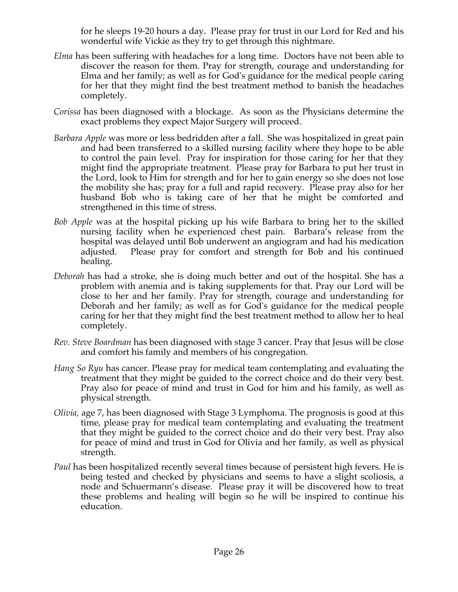for he sleeps 19-20 hours a day. Please pray for trust in our Lord for Red and his wonderful wife Vickie as they try to get through this nightmare.

- *Elma* has been suffering with headaches for a long time. Doctors have not been able to discover the reason for them. Pray for strength, courage and understanding for Elma and her family; as well as for God's guidance for the medical people caring for her that they might find the best treatment method to banish the headaches completely.
- *Corissa* has been diagnosed with a blockage. As soon as the Physicians determine the exact problems they expect Major Surgery will proceed.
- *Barbara Apple* was more or less bedridden after a fall. She was hospitalized in great pain and had been transferred to a skilled nursing facility where they hope to be able to control the pain level. Pray for inspiration for those caring for her that they might find the appropriate treatment. Please pray for Barbara to put her trust in the Lord, look to Him for strength and for her to gain energy so she does not lose the mobility she has; pray for a full and rapid recovery. Please pray also for her husband Bob who is taking care of her that he might be comforted and strengthened in this time of stress.
- *Bob Apple* was at the hospital picking up his wife Barbara to bring her to the skilled nursing facility when he experienced chest pain. Barbara's release from the hospital was delayed until Bob underwent an angiogram and had his medication adjusted. Please pray for comfort and strength for Bob and his continued healing.
- *Deborah* has had a stroke, she is doing much better and out of the hospital. She has a problem with anemia and is taking supplements for that. Pray our Lord will be close to her and her family. Pray for strength, courage and understanding for Deborah and her family; as well as for God's guidance for the medical people caring for her that they might find the best treatment method to allow her to heal completely.
- *Rev. Steve Boardman* has been diagnosed with stage 3 cancer. Pray that Jesus will be close and comfort his family and members of his congregation*.*
- *Hang So Ryu* has cancer. Please pray for medical team contemplating and evaluating the treatment that they might be guided to the correct choice and do their very best. Pray also for peace of mind and trust in God for him and his family, as well as physical strength.
- *Olivia,* age 7, has been diagnosed with Stage 3 Lymphoma. The prognosis is good at this time, please pray for medical team contemplating and evaluating the treatment that they might be guided to the correct choice and do their very best. Pray also for peace of mind and trust in God for Olivia and her family, as well as physical strength.
- *Paul* has been hospitalized recently several times because of persistent high fevers. He is being tested and checked by physicians and seems to have a slight scoliosis, a node and Schuermann's disease. Please pray it will be discovered how to treat these problems and healing will begin so he will be inspired to continue his education.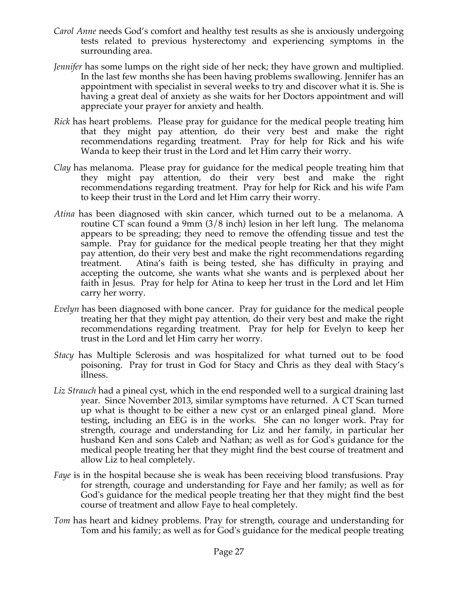- *Carol Anne* needs God's comfort and healthy test results as she is anxiously undergoing tests related to previous hysterectomy and experiencing symptoms in the surrounding area.
- *Jennifer* has some lumps on the right side of her neck; they have grown and multiplied. In the last few months she has been having problems swallowing. Jennifer has an appointment with specialist in several weeks to try and discover what it is. She is having a great deal of anxiety as she waits for her Doctors appointment and will appreciate your prayer for anxiety and health.
- *Rick* has heart problems. Please pray for guidance for the medical people treating him that they might pay attention, do their very best and make the right recommendations regarding treatment. Pray for help for Rick and his wife Wanda to keep their trust in the Lord and let Him carry their worry.
- *Clay* has melanoma. Please pray for guidance for the medical people treating him that they might pay attention, do their very best and make the right recommendations regarding treatment. Pray for help for Rick and his wife Pam to keep their trust in the Lord and let Him carry their worry.
- *Atina* has been diagnosed with skin cancer, which turned out to be a melanoma. A routine CT scan found a 9mm (3/8 inch) lesion in her left lung. The melanoma appears to be spreading; they need to remove the offending tissue and test the sample. Pray for guidance for the medical people treating her that they might pay attention, do their very best and make the right recommendations regarding treatment. Atina's faith is being tested, she has difficulty in praying and accepting the outcome, she wants what she wants and is perplexed about her faith in Jesus. Pray for help for Atina to keep her trust in the Lord and let Him carry her worry.
- *Evelyn* has been diagnosed with bone cancer. Pray for guidance for the medical people treating her that they might pay attention, do their very best and make the right recommendations regarding treatment. Pray for help for Evelyn to keep her trust in the Lord and let Him carry her worry.
- *Stacy* has Multiple Sclerosis and was hospitalized for what turned out to be food poisoning. Pray for trust in God for Stacy and Chris as they deal with Stacy's illness.
- *Liz Strauch* had a pineal cyst, which in the end responded well to a surgical draining last year. Since November 2013, similar symptoms have returned. A CT Scan turned up what is thought to be either a new cyst or an enlarged pineal gland. More testing, including an EEG is in the works. She can no longer work. Pray for strength, courage and understanding for Liz and her family, in particular her husband Ken and sons Caleb and Nathan; as well as for God's guidance for the medical people treating her that they might find the best course of treatment and allow Liz to heal completely.
- *Faye* is in the hospital because she is weak has been receiving blood transfusions. Pray for strength, courage and understanding for Faye and her family; as well as for God's guidance for the medical people treating her that they might find the best course of treatment and allow Faye to heal completely.
- *Tom* has heart and kidney problems. Pray for strength, courage and understanding for Tom and his family; as well as for God's guidance for the medical people treating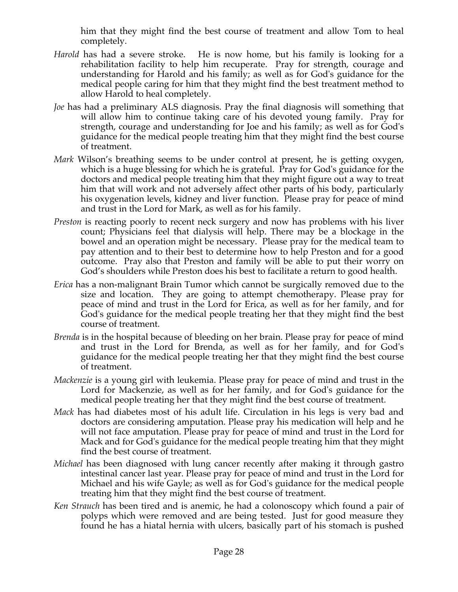him that they might find the best course of treatment and allow Tom to heal completely.

- *Harold* has had a severe stroke. He is now home, but his family is looking for a rehabilitation facility to help him recuperate. Pray for strength, courage and understanding for Harold and his family; as well as for God's guidance for the medical people caring for him that they might find the best treatment method to allow Harold to heal completely.
- *Joe* has had a preliminary ALS diagnosis. Pray the final diagnosis will something that will allow him to continue taking care of his devoted young family. Pray for strength, courage and understanding for Joe and his family; as well as for God's guidance for the medical people treating him that they might find the best course of treatment.
- *Mark* Wilson's breathing seems to be under control at present, he is getting oxygen, which is a huge blessing for which he is grateful. Pray for God's guidance for the doctors and medical people treating him that they might figure out a way to treat him that will work and not adversely affect other parts of his body, particularly his oxygenation levels, kidney and liver function. Please pray for peace of mind and trust in the Lord for Mark, as well as for his family.
- *Preston* is reacting poorly to recent neck surgery and now has problems with his liver count; Physicians feel that dialysis will help. There may be a blockage in the bowel and an operation might be necessary. Please pray for the medical team to pay attention and to their best to determine how to help Preston and for a good outcome. Pray also that Preston and family will be able to put their worry on God's shoulders while Preston does his best to facilitate a return to good health.
- *Erica* has a non-malignant Brain Tumor which cannot be surgically removed due to the size and location. They are going to attempt chemotherapy. Please pray for peace of mind and trust in the Lord for Erica, as well as for her family, and for God's guidance for the medical people treating her that they might find the best course of treatment.
- *Brenda* is in the hospital because of bleeding on her brain. Please pray for peace of mind and trust in the Lord for Brenda, as well as for her family, and for God's guidance for the medical people treating her that they might find the best course of treatment.
- *Mackenzie* is a young girl with leukemia. Please pray for peace of mind and trust in the Lord for Mackenzie, as well as for her family, and for God's guidance for the medical people treating her that they might find the best course of treatment.
- *Mack* has had diabetes most of his adult life. Circulation in his legs is very bad and doctors are considering amputation. Please pray his medication will help and he will not face amputation. Please pray for peace of mind and trust in the Lord for Mack and for God's guidance for the medical people treating him that they might find the best course of treatment.
- *Michael* has been diagnosed with lung cancer recently after making it through gastro intestinal cancer last year. Please pray for peace of mind and trust in the Lord for Michael and his wife Gayle; as well as for God's guidance for the medical people treating him that they might find the best course of treatment.
- *Ken Strauch* has been tired and is anemic, he had a colonoscopy which found a pair of polyps which were removed and are being tested. Just for good measure they found he has a hiatal hernia with ulcers, basically part of his stomach is pushed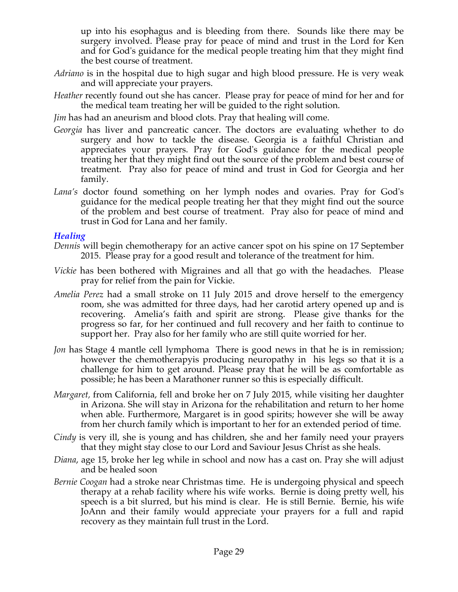up into his esophagus and is bleeding from there. Sounds like there may be surgery involved. Please pray for peace of mind and trust in the Lord for Ken and for God's guidance for the medical people treating him that they might find the best course of treatment.

- *Adriano* is in the hospital due to high sugar and high blood pressure. He is very weak and will appreciate your prayers.
- *Heather* recently found out she has cancer. Please pray for peace of mind for her and for the medical team treating her will be guided to the right solution.
- *Jim* has had an aneurism and blood clots. Pray that healing will come.
- *Georgia* has liver and pancreatic cancer. The doctors are evaluating whether to do surgery and how to tackle the disease. Georgia is a faithful Christian and appreciates your prayers. Pray for God's guidance for the medical people treating her that they might find out the source of the problem and best course of treatment. Pray also for peace of mind and trust in God for Georgia and her family.
- *Lana's* doctor found something on her lymph nodes and ovaries. Pray for God's guidance for the medical people treating her that they might find out the source of the problem and best course of treatment. Pray also for peace of mind and trust in God for Lana and her family.

#### *Healing*

- *Dennis* will begin chemotherapy for an active cancer spot on his spine on 17 September 2015. Please pray for a good result and tolerance of the treatment for him.
- *Vickie* has been bothered with Migraines and all that go with the headaches. Please pray for relief from the pain for Vickie.
- *Amelia Perez* had a small stroke on 11 July 2015 and drove herself to the emergency room, she was admitted for three days, had her carotid artery opened up and is recovering. Amelia's faith and spirit are strong. Please give thanks for the progress so far, for her continued and full recovery and her faith to continue to support her. Pray also for her family who are still quite worried for her.
- *Jon* has Stage 4 mantle cell lymphoma There is good news in that he is in remission; however the chemotherapyis producing neuropathy in his legs so that it is a challenge for him to get around. Please pray that he will be as comfortable as possible; he has been a Marathoner runner so this is especially difficult.
- *Margaret,* from California, fell and broke her on 7 July 2015, while visiting her daughter in Arizona. She will stay in Arizona for the rehabilitation and return to her home when able. Furthermore, Margaret is in good spirits; however she will be away from her church family which is important to her for an extended period of time.
- *Cindy* is very ill, she is young and has children, she and her family need your prayers that they might stay close to our Lord and Saviour Jesus Christ as she heals.
- *Diana*, age 15, broke her leg while in school and now has a cast on. Pray she will adjust and be healed soon
- *Bernie Coogan* had a stroke near Christmas time. He is undergoing physical and speech therapy at a rehab facility where his wife works. Bernie is doing pretty well, his speech is a bit slurred, but his mind is clear. He is still Bernie. Bernie, his wife JoAnn and their family would appreciate your prayers for a full and rapid recovery as they maintain full trust in the Lord.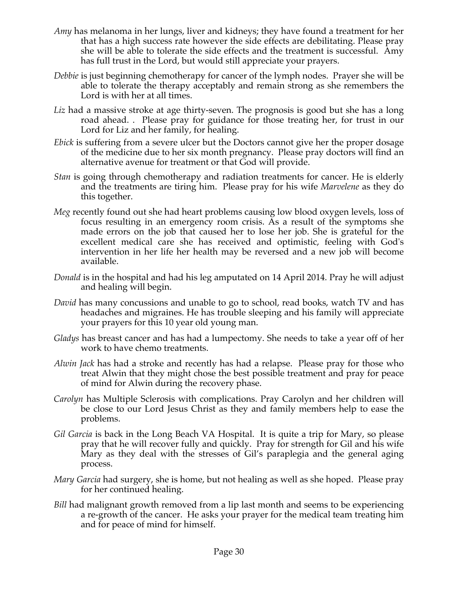- *Amy* has melanoma in her lungs, liver and kidneys; they have found a treatment for her that has a high success rate however the side effects are debilitating. Please pray she will be able to tolerate the side effects and the treatment is successful. Amy has full trust in the Lord, but would still appreciate your prayers.
- *Debbie* is just beginning chemotherapy for cancer of the lymph nodes. Prayer she will be able to tolerate the therapy acceptably and remain strong as she remembers the Lord is with her at all times.
- Liz had a massive stroke at age thirty-seven. The prognosis is good but she has a long road ahead. . Please pray for guidance for those treating her, for trust in our Lord for Liz and her family, for healing.
- *Ebick* is suffering from a severe ulcer but the Doctors cannot give her the proper dosage of the medicine due to her six month pregnancy. Please pray doctors will find an alternative avenue for treatment or that God will provide.
- *Stan* is going through chemotherapy and radiation treatments for cancer. He is elderly and the treatments are tiring him. Please pray for his wife *Marvelene* as they do this together.
- *Meg* recently found out she had heart problems causing low blood oxygen levels, loss of focus resulting in an emergency room crisis. As a result of the symptoms she made errors on the job that caused her to lose her job. She is grateful for the excellent medical care she has received and optimistic, feeling with God's intervention in her life her health may be reversed and a new job will become available.
- *Donald* is in the hospital and had his leg amputated on 14 April 2014. Pray he will adjust and healing will begin.
- *David* has many concussions and unable to go to school, read books, watch TV and has headaches and migraines. He has trouble sleeping and his family will appreciate your prayers for this 10 year old young man.
- *Gladys* has breast cancer and has had a lumpectomy. She needs to take a year off of her work to have chemo treatments.
- *Alwin Jack* has had a stroke and recently has had a relapse. Please pray for those who treat Alwin that they might chose the best possible treatment and pray for peace of mind for Alwin during the recovery phase.
- *Carolyn* has Multiple Sclerosis with complications. Pray Carolyn and her children will be close to our Lord Jesus Christ as they and family members help to ease the problems.
- *Gil Garcia* is back in the Long Beach VA Hospital. It is quite a trip for Mary, so please pray that he will recover fully and quickly. Pray for strength for Gil and his wife Mary as they deal with the stresses of Gil's paraplegia and the general aging process.
- *Mary Garcia* had surgery, she is home, but not healing as well as she hoped. Please pray for her continued healing.
- *Bill* had malignant growth removed from a lip last month and seems to be experiencing a re-growth of the cancer. He asks your prayer for the medical team treating him and for peace of mind for himself.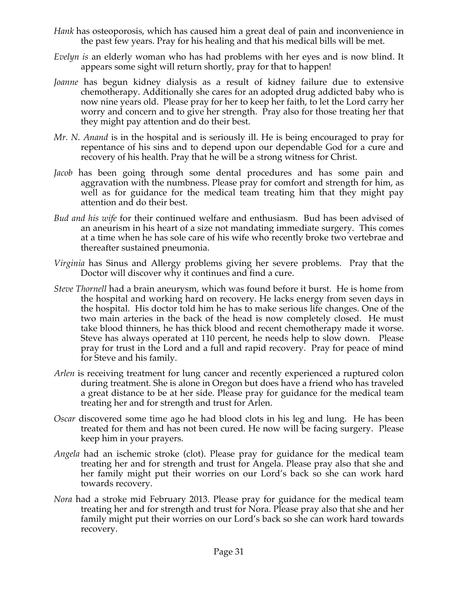- *Hank* has osteoporosis, which has caused him a great deal of pain and inconvenience in the past few years. Pray for his healing and that his medical bills will be met.
- *Evelyn is* an elderly woman who has had problems with her eyes and is now blind. It appears some sight will return shortly, pray for that to happen!
- *Joanne* has begun kidney dialysis as a result of kidney failure due to extensive chemotherapy. Additionally she cares for an adopted drug addicted baby who is now nine years old. Please pray for her to keep her faith, to let the Lord carry her worry and concern and to give her strength. Pray also for those treating her that they might pay attention and do their best.
- *Mr. N. Anand* is in the hospital and is seriously ill. He is being encouraged to pray for repentance of his sins and to depend upon our dependable God for a cure and recovery of his health. Pray that he will be a strong witness for Christ.
- *Jacob* has been going through some dental procedures and has some pain and aggravation with the numbness. Please pray for comfort and strength for him, as well as for guidance for the medical team treating him that they might pay attention and do their best.
- *Bud and his wife* for their continued welfare and enthusiasm. Bud has been advised of an aneurism in his heart of a size not mandating immediate surgery. This comes at a time when he has sole care of his wife who recently broke two vertebrae and thereafter sustained pneumonia.
- *Virginia* has Sinus and Allergy problems giving her severe problems. Pray that the Doctor will discover why it continues and find a cure.
- *Steve Thornell* had a brain aneurysm, which was found before it burst. He is home from the hospital and working hard on recovery. He lacks energy from seven days in the hospital. His doctor told him he has to make serious life changes. One of the two main arteries in the back of the head is now completely closed. He must take blood thinners, he has thick blood and recent chemotherapy made it worse. Steve has always operated at 110 percent, he needs help to slow down. Please pray for trust in the Lord and a full and rapid recovery. Pray for peace of mind for Steve and his family.
- *Arlen* is receiving treatment for lung cancer and recently experienced a ruptured colon during treatment. She is alone in Oregon but does have a friend who has traveled a great distance to be at her side. Please pray for guidance for the medical team treating her and for strength and trust for Arlen.
- *Oscar* discovered some time ago he had blood clots in his leg and lung. He has been treated for them and has not been cured. He now will be facing surgery. Please keep him in your prayers.
- *Angela* had an ischemic stroke (clot). Please pray for guidance for the medical team treating her and for strength and trust for Angela. Please pray also that she and her family might put their worries on our Lord's back so she can work hard towards recovery.
- *Nora* had a stroke mid February 2013. Please pray for guidance for the medical team treating her and for strength and trust for Nora. Please pray also that she and her family might put their worries on our Lord's back so she can work hard towards recovery.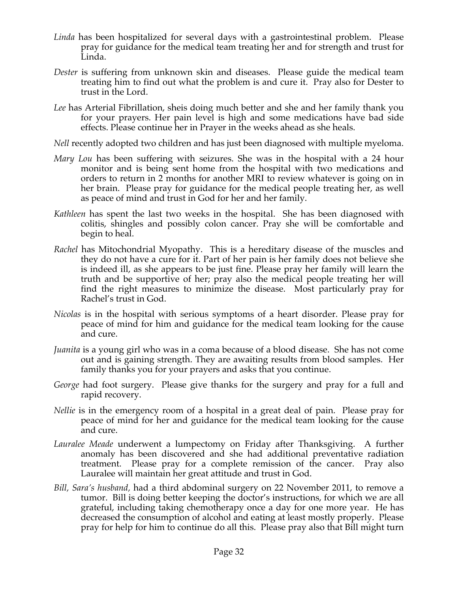- *Linda* has been hospitalized for several days with a gastrointestinal problem. Please pray for guidance for the medical team treating her and for strength and trust for Linda.
- *Dester* is suffering from unknown skin and diseases. Please guide the medical team treating him to find out what the problem is and cure it. Pray also for Dester to trust in the Lord.
- *Lee* has Arterial Fibrillation, sheis doing much better and she and her family thank you for your prayers. Her pain level is high and some medications have bad side effects. Please continue her in Prayer in the weeks ahead as she heals.
- *Nell* recently adopted two children and has just been diagnosed with multiple myeloma.
- *Mary Lou* has been suffering with seizures. She was in the hospital with a 24 hour monitor and is being sent home from the hospital with two medications and orders to return in 2 months for another MRI to review whatever is going on in her brain. Please pray for guidance for the medical people treating her, as well as peace of mind and trust in God for her and her family.
- *Kathleen* has spent the last two weeks in the hospital. She has been diagnosed with colitis, shingles and possibly colon cancer. Pray she will be comfortable and begin to heal.
- *Rachel* has Mitochondrial Myopathy. This is a hereditary disease of the muscles and they do not have a cure for it. Part of her pain is her family does not believe she is indeed ill, as she appears to be just fine. Please pray her family will learn the truth and be supportive of her; pray also the medical people treating her will find the right measures to minimize the disease. Most particularly pray for Rachel's trust in God.
- *Nicolas* is in the hospital with serious symptoms of a heart disorder. Please pray for peace of mind for him and guidance for the medical team looking for the cause and cure.
- *Juanita* is a young girl who was in a coma because of a blood disease. She has not come out and is gaining strength. They are awaiting results from blood samples. Her family thanks you for your prayers and asks that you continue.
- *George* had foot surgery. Please give thanks for the surgery and pray for a full and rapid recovery.
- *Nellie* is in the emergency room of a hospital in a great deal of pain. Please pray for peace of mind for her and guidance for the medical team looking for the cause and cure.
- *Lauralee Meade* underwent a lumpectomy on Friday after Thanksgiving. A further anomaly has been discovered and she had additional preventative radiation treatment. Please pray for a complete remission of the cancer. Pray also Lauralee will maintain her great attitude and trust in God.
- *Bill, Sara's husband,* had a third abdominal surgery on 22 November 2011, to remove a tumor. Bill is doing better keeping the doctor's instructions, for which we are all grateful, including taking chemotherapy once a day for one more year. He has decreased the consumption of alcohol and eating at least mostly properly. Please pray for help for him to continue do all this. Please pray also that Bill might turn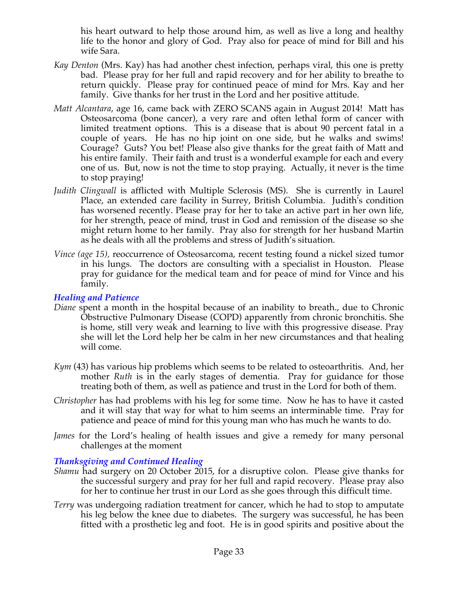his heart outward to help those around him, as well as live a long and healthy life to the honor and glory of God. Pray also for peace of mind for Bill and his wife Sara.

- *Kay Denton* (Mrs. Kay) has had another chest infection, perhaps viral, this one is pretty bad. Please pray for her full and rapid recovery and for her ability to breathe to return quickly. Please pray for continued peace of mind for Mrs. Kay and her family. Give thanks for her trust in the Lord and her positive attitude.
- *Matt Alcantara*, age 16, came back with ZERO SCANS again in August 2014! Matt has Osteosarcoma (bone cancer), a very rare and often lethal form of cancer with limited treatment options. This is a disease that is about 90 percent fatal in a couple of years. He has no hip joint on one side, but he walks and swims! Courage? Guts? You bet! Please also give thanks for the great faith of Matt and his entire family. Their faith and trust is a wonderful example for each and every one of us. But, now is not the time to stop praying. Actually, it never is the time to stop praying!
- *Judith Clingwall* is afflicted with Multiple Sclerosis (MS). She is currently in Laurel Place, an extended care facility in Surrey, British Columbia. Judith's condition has worsened recently. Please pray for her to take an active part in her own life, for her strength, peace of mind, trust in God and remission of the disease so she might return home to her family. Pray also for strength for her husband Martin as he deals with all the problems and stress of Judith's situation.
- *Vince (age 15),* reoccurrence of Osteosarcoma, recent testing found a nickel sized tumor in his lungs. The doctors are consulting with a specialist in Houston. Please pray for guidance for the medical team and for peace of mind for Vince and his family.

#### *Healing and Patience*

- *Diane* spent a month in the hospital because of an inability to breath., due to Chronic Obstructive Pulmonary Disease (COPD) apparently from chronic bronchitis. She is home, still very weak and learning to live with this progressive disease. Pray she will let the Lord help her be calm in her new circumstances and that healing will come.
- *Kym* (43) has various hip problems which seems to be related to osteoarthritis. And, her mother *Ruth* is in the early stages of dementia. Pray for guidance for those treating both of them, as well as patience and trust in the Lord for both of them.
- *Christopher* has had problems with his leg for some time. Now he has to have it casted and it will stay that way for what to him seems an interminable time. Pray for patience and peace of mind for this young man who has much he wants to do.
- *James* for the Lord's healing of health issues and give a remedy for many personal challenges at the moment

# *Thanksgiving and Continued Healing*

- *Shamu* had surgery on 20 October 2015, for a disruptive colon. Please give thanks for the successful surgery and pray for her full and rapid recovery. Please pray also for her to continue her trust in our Lord as she goes through this difficult time.
- *Terry* was undergoing radiation treatment for cancer, which he had to stop to amputate his leg below the knee due to diabetes. The surgery was successful, he has been fitted with a prosthetic leg and foot. He is in good spirits and positive about the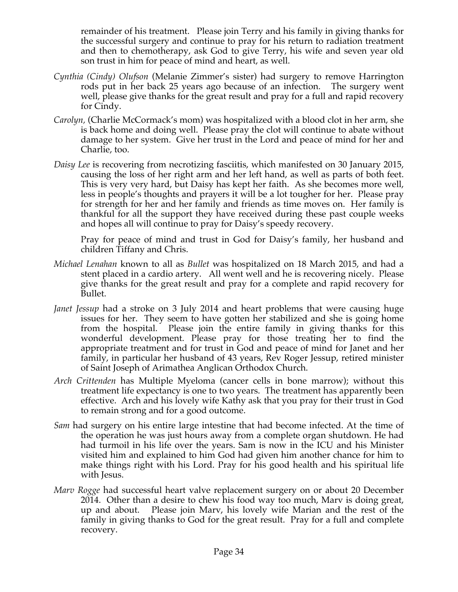remainder of his treatment. Please join Terry and his family in giving thanks for the successful surgery and continue to pray for his return to radiation treatment and then to chemotherapy, ask God to give Terry, his wife and seven year old son trust in him for peace of mind and heart, as well.

- *Cynthia (Cindy) Olufson* (Melanie Zimmer's sister) had surgery to remove Harrington rods put in her back 25 years ago because of an infection. The surgery went well, please give thanks for the great result and pray for a full and rapid recovery for Cindy.
- *Carolyn,* (Charlie McCormack's mom) was hospitalized with a blood clot in her arm, she is back home and doing well. Please pray the clot will continue to abate without damage to her system. Give her trust in the Lord and peace of mind for her and Charlie, too.
- *Daisy Lee* is recovering from necrotizing fasciitis, which manifested on 30 January 2015, causing the loss of her right arm and her left hand, as well as parts of both feet. This is very very hard, but Daisy has kept her faith. As she becomes more well, less in people's thoughts and prayers it will be a lot tougher for her. Please pray for strength for her and her family and friends as time moves on. Her family is thankful for all the support they have received during these past couple weeks and hopes all will continue to pray for Daisy's speedy recovery.

Pray for peace of mind and trust in God for Daisy's family, her husband and children Tiffany and Chris.

- *Michael Lenahan* known to all as *Bullet* was hospitalized on 18 March 2015, and had a stent placed in a cardio artery. All went well and he is recovering nicely. Please give thanks for the great result and pray for a complete and rapid recovery for Bullet.
- *Janet Jessup* had a stroke on 3 July 2014 and heart problems that were causing huge issues for her. They seem to have gotten her stabilized and she is going home from the hospital. Please join the entire family in giving thanks for this wonderful development. Please pray for those treating her to find the appropriate treatment and for trust in God and peace of mind for Janet and her family, in particular her husband of 43 years, Rev Roger Jessup, retired minister of Saint Joseph of Arimathea Anglican Orthodox Church.
- *Arch Crittenden* has Multiple Myeloma (cancer cells in bone marrow); without this treatment life expectancy is one to two years. The treatment has apparently been effective. Arch and his lovely wife Kathy ask that you pray for their trust in God to remain strong and for a good outcome.
- *Sam* had surgery on his entire large intestine that had become infected. At the time of the operation he was just hours away from a complete organ shutdown. He had had turmoil in his life over the years. Sam is now in the ICU and his Minister visited him and explained to him God had given him another chance for him to make things right with his Lord. Pray for his good health and his spiritual life with Jesus.
- *Marv Rogge* had successful heart valve replacement surgery on or about 20 December 2014. Other than a desire to chew his food way too much, Marv is doing great, up and about. Please join Marv, his lovely wife Marian and the rest of the family in giving thanks to God for the great result. Pray for a full and complete recovery.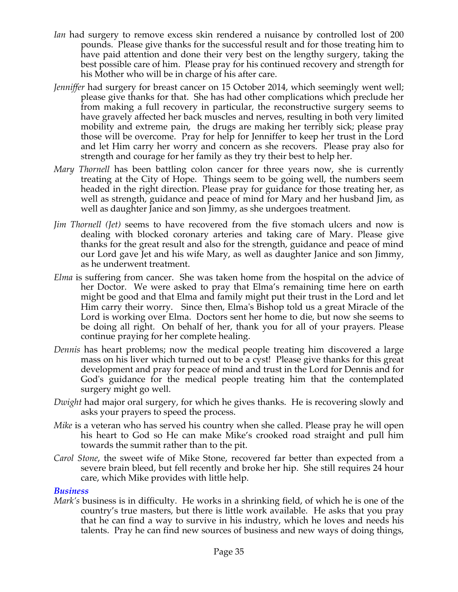- *Ian* had surgery to remove excess skin rendered a nuisance by controlled lost of 200 pounds. Please give thanks for the successful result and for those treating him to have paid attention and done their very best on the lengthy surgery, taking the best possible care of him. Please pray for his continued recovery and strength for his Mother who will be in charge of his after care.
- *Jenniffer* had surgery for breast cancer on 15 October 2014, which seemingly went well; please give thanks for that. She has had other complications which preclude her from making a full recovery in particular, the reconstructive surgery seems to have gravely affected her back muscles and nerves, resulting in both very limited mobility and extreme pain, the drugs are making her terribly sick; please pray those will be overcome. Pray for help for Jenniffer to keep her trust in the Lord and let Him carry her worry and concern as she recovers. Please pray also for strength and courage for her family as they try their best to help her.
- *Mary Thornell* has been battling colon cancer for three years now, she is currently treating at the City of Hope. Things seem to be going well, the numbers seem headed in the right direction. Please pray for guidance for those treating her, as well as strength, guidance and peace of mind for Mary and her husband Jim, as well as daughter Janice and son Jimmy, as she undergoes treatment.
- *Jim Thornell (Jet)* seems to have recovered from the five stomach ulcers and now is dealing with blocked coronary arteries and taking care of Mary. Please give thanks for the great result and also for the strength, guidance and peace of mind our Lord gave Jet and his wife Mary, as well as daughter Janice and son Jimmy, as he underwent treatment.
- *Elma* is suffering from cancer. She was taken home from the hospital on the advice of her Doctor. We were asked to pray that Elma's remaining time here on earth might be good and that Elma and family might put their trust in the Lord and let Him carry their worry. Since then, Elma's Bishop told us a great Miracle of the Lord is working over Elma. Doctors sent her home to die, but now she seems to be doing all right. On behalf of her, thank you for all of your prayers. Please continue praying for her complete healing.
- *Dennis* has heart problems; now the medical people treating him discovered a large mass on his liver which turned out to be a cyst! Please give thanks for this great development and pray for peace of mind and trust in the Lord for Dennis and for God's guidance for the medical people treating him that the contemplated surgery might go well.
- *Dwight* had major oral surgery, for which he gives thanks. He is recovering slowly and asks your prayers to speed the process.
- *Mike* is a veteran who has served his country when she called. Please pray he will open his heart to God so He can make Mike's crooked road straight and pull him towards the summit rather than to the pit.
- *Carol Stone*, the sweet wife of Mike Stone, recovered far better than expected from a severe brain bleed, but fell recently and broke her hip. She still requires 24 hour care, which Mike provides with little help.

# *Business*

*Mark's* business is in difficulty. He works in a shrinking field, of which he is one of the country's true masters, but there is little work available. He asks that you pray that he can find a way to survive in his industry, which he loves and needs his talents. Pray he can find new sources of business and new ways of doing things,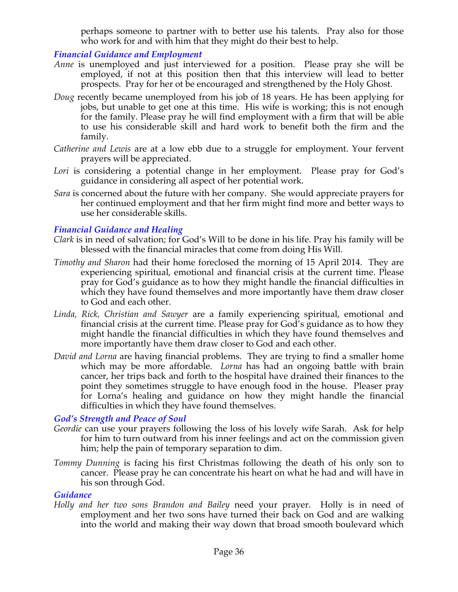perhaps someone to partner with to better use his talents. Pray also for those who work for and with him that they might do their best to help.

# *Financial Guidance and Employment*

- *Anne* is unemployed and just interviewed for a position. Please pray she will be employed, if not at this position then that this interview will lead to better prospects. Pray for her ot be encouraged and strengthened by the Holy Ghost.
- *Doug* recently became unemployed from his job of 18 years. He has been applying for jobs, but unable to get one at this time. His wife is working; this is not enough for the family. Please pray he will find employment with a firm that will be able to use his considerable skill and hard work to benefit both the firm and the family.
- *Catherine and Lewis* are at a low ebb due to a struggle for employment. Your fervent prayers will be appreciated.
- Lori is considering a potential change in her employment. Please pray for God's guidance in considering all aspect of her potential work.
- *Sara* is concerned about the future with her company. She would appreciate prayers for her continued employment and that her firm might find more and better ways to use her considerable skills.

# *Financial Guidance and Healing*

- *Clark* is in need of salvation; for God's Will to be done in his life. Pray his family will be blessed with the financial miracles that come from doing His Will.
- *Timothy and Sharon* had their home foreclosed the morning of 15 April 2014. They are experiencing spiritual, emotional and financial crisis at the current time. Please pray for God's guidance as to how they might handle the financial difficulties in which they have found themselves and more importantly have them draw closer to God and each other.
- *Linda, Rick, Christian and Sawyer* are a family experiencing spiritual, emotional and financial crisis at the current time. Please pray for God's guidance as to how they might handle the financial difficulties in which they have found themselves and more importantly have them draw closer to God and each other.
- *David and Lorna* are having financial problems. They are trying to find a smaller home which may be more affordable. *Lorna* has had an ongoing battle with brain cancer, her trips back and forth to the hospital have drained their finances to the point they sometimes struggle to have enough food in the house. Pleaser pray for Lorna's healing and guidance on how they might handle the financial difficulties in which they have found themselves.

# *God's Strength and Peace of Soul*

- *Geordie* can use your prayers following the loss of his lovely wife Sarah. Ask for help for him to turn outward from his inner feelings and act on the commission given him; help the pain of temporary separation to dim.
- *Tommy Dunning* is facing his first Christmas following the death of his only son to cancer. Please pray he can concentrate his heart on what he had and will have in his son through God.

# *Guidance*

*Holly and her two sons Brandon and Bailey* need your prayer. Holly is in need of employment and her two sons have turned their back on God and are walking into the world and making their way down that broad smooth boulevard which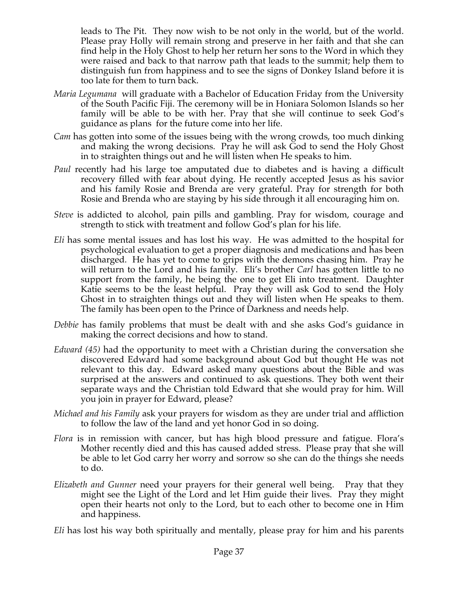leads to The Pit. They now wish to be not only in the world, but of the world. Please pray Holly will remain strong and preserve in her faith and that she can find help in the Holy Ghost to help her return her sons to the Word in which they were raised and back to that narrow path that leads to the summit; help them to distinguish fun from happiness and to see the signs of Donkey Island before it is too late for them to turn back.

- *Maria Legumana* will graduate with a Bachelor of Education Friday from the University of the South Pacific Fiji. The ceremony will be in Honiara Solomon Islands so her family will be able to be with her. Pray that she will continue to seek God's guidance as plans for the future come into her life.
- *Cam* has gotten into some of the issues being with the wrong crowds, too much dinking and making the wrong decisions. Pray he will ask God to send the Holy Ghost in to straighten things out and he will listen when He speaks to him.
- *Paul* recently had his large toe amputated due to diabetes and is having a difficult recovery filled with fear about dying. He recently accepted Jesus as his savior and his family Rosie and Brenda are very grateful. Pray for strength for both Rosie and Brenda who are staying by his side through it all encouraging him on.
- *Steve* is addicted to alcohol, pain pills and gambling. Pray for wisdom, courage and strength to stick with treatment and follow God's plan for his life.
- *Eli* has some mental issues and has lost his way. He was admitted to the hospital for psychological evaluation to get a proper diagnosis and medications and has been discharged. He has yet to come to grips with the demons chasing him. Pray he will return to the Lord and his family. Eli's brother *Carl* has gotten little to no support from the family, he being the one to get Eli into treatment. Daughter Katie seems to be the least helpful. Pray they will ask God to send the Holy Ghost in to straighten things out and they will listen when He speaks to them. The family has been open to the Prince of Darkness and needs help.
- *Debbie* has family problems that must be dealt with and she asks God's guidance in making the correct decisions and how to stand.
- *Edward (45)* had the opportunity to meet with a Christian during the conversation she discovered Edward had some background about God but thought He was not relevant to this day. Edward asked many questions about the Bible and was surprised at the answers and continued to ask questions. They both went their separate ways and the Christian told Edward that she would pray for him. Will you join in prayer for Edward, please?
- *Michael and his Family* ask your prayers for wisdom as they are under trial and affliction to follow the law of the land and yet honor God in so doing.
- *Flora* is in remission with cancer, but has high blood pressure and fatigue. Flora's Mother recently died and this has caused added stress. Please pray that she will be able to let God carry her worry and sorrow so she can do the things she needs to do.
- *Elizabeth and Gunner* need your prayers for their general well being. Pray that they might see the Light of the Lord and let Him guide their lives. Pray they might open their hearts not only to the Lord, but to each other to become one in Him and happiness.

*Eli* has lost his way both spiritually and mentally, please pray for him and his parents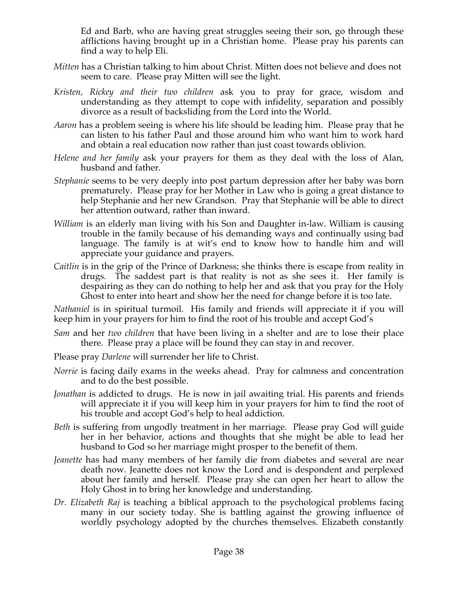Ed and Barb, who are having great struggles seeing their son, go through these afflictions having brought up in a Christian home. Please pray his parents can find a way to help Eli.

- *Mitten* has a Christian talking to him about Christ. Mitten does not believe and does not seem to care. Please pray Mitten will see the light.
- *Kristen, Rickey and their two children* ask you to pray for grace, wisdom and understanding as they attempt to cope with infidelity, separation and possibly divorce as a result of backsliding from the Lord into the World.
- *Aaron* has a problem seeing is where his life should be leading him. Please pray that he can listen to his father Paul and those around him who want him to work hard and obtain a real education now rather than just coast towards oblivion.
- *Helene and her family* ask your prayers for them as they deal with the loss of Alan, husband and father.
- *Stephanie* seems to be very deeply into post partum depression after her baby was born prematurely. Please pray for her Mother in Law who is going a great distance to help Stephanie and her new Grandson. Pray that Stephanie will be able to direct her attention outward, rather than inward.
- *William* is an elderly man living with his Son and Daughter in-law. William is causing trouble in the family because of his demanding ways and continually using bad language. The family is at wit's end to know how to handle him and will appreciate your guidance and prayers.
- *Caitlin* is in the grip of the Prince of Darkness; she thinks there is escape from reality in drugs. The saddest part is that reality is not as she sees it. Her family is despairing as they can do nothing to help her and ask that you pray for the Holy Ghost to enter into heart and show her the need for change before it is too late.

*Nathaniel* is in spiritual turmoil. His family and friends will appreciate it if you will keep him in your prayers for him to find the root of his trouble and accept God's

- *Sam* and her *two children* that have been living in a shelter and are to lose their place there. Please pray a place will be found they can stay in and recover.
- Please pray *Darlene* will surrender her life to Christ.
- *Norrie* is facing daily exams in the weeks ahead. Pray for calmness and concentration and to do the best possible.
- *Jonathan* is addicted to drugs. He is now in jail awaiting trial. His parents and friends will appreciate it if you will keep him in your prayers for him to find the root of his trouble and accept God's help to heal addiction.
- *Beth* is suffering from ungodly treatment in her marriage. Please pray God will guide her in her behavior, actions and thoughts that she might be able to lead her husband to God so her marriage might prosper to the benefit of them.
- *Jeanette* has had many members of her family die from diabetes and several are near death now. Jeanette does not know the Lord and is despondent and perplexed about her family and herself. Please pray she can open her heart to allow the Holy Ghost in to bring her knowledge and understanding.
- *Dr. Elizabeth Raj* is teaching a biblical approach to the psychological problems facing many in our society today. She is battling against the growing influence of worldly psychology adopted by the churches themselves. Elizabeth constantly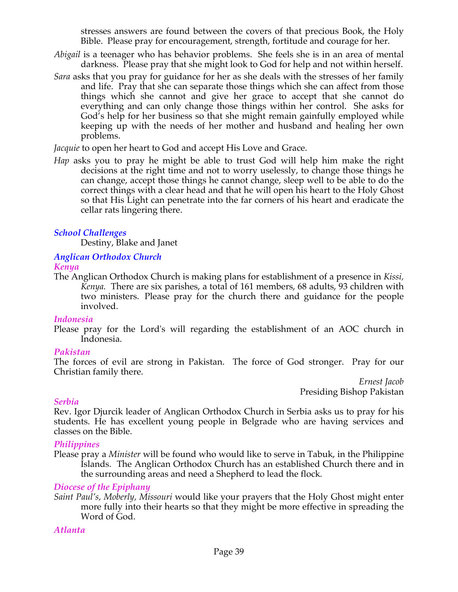stresses answers are found between the covers of that precious Book, the Holy Bible. Please pray for encouragement, strength, fortitude and courage for her.

- *Abigail* is a teenager who has behavior problems. She feels she is in an area of mental darkness. Please pray that she might look to God for help and not within herself.
- *Sara* asks that you pray for guidance for her as she deals with the stresses of her family and life. Pray that she can separate those things which she can affect from those things which she cannot and give her grace to accept that she cannot do everything and can only change those things within her control. She asks for God's help for her business so that she might remain gainfully employed while keeping up with the needs of her mother and husband and healing her own problems.

*Jacquie* to open her heart to God and accept His Love and Grace.

*Hap* asks you to pray he might be able to trust God will help him make the right decisions at the right time and not to worry uselessly, to change those things he can change, accept those things he cannot change, sleep well to be able to do the correct things with a clear head and that he will open his heart to the Holy Ghost so that His Light can penetrate into the far corners of his heart and eradicate the cellar rats lingering there.

# *School Challenges*

Destiny, Blake and Janet

#### *Anglican Orthodox Church Kenya*

The Anglican Orthodox Church is making plans for establishment of a presence in *Kissi, Kenya.* There are six parishes, a total of 161 members, 68 adults, 93 children with two ministers. Please pray for the church there and guidance for the people involved.

# *Indonesia*

Please pray for the Lord's will regarding the establishment of an AOC church in Indonesia.

# *Pakistan*

The forces of evil are strong in Pakistan. The force of God stronger. Pray for our Christian family there.

*Ernest Jacob* Presiding Bishop Pakistan

#### *Serbia*

Rev. Igor Djurcik leader of Anglican Orthodox Church in Serbia asks us to pray for his students. He has excellent young people in Belgrade who are having services and classes on the Bible.

# *Philippines*

Please pray a *Minister* will be found who would like to serve in Tabuk, in the Philippine Islands. The Anglican Orthodox Church has an established Church there and in the surrounding areas and need a Shepherd to lead the flock*.*

# *Diocese of the Epiphany*

*Saint Paul's, Moberly, Missouri* would like your prayers that the Holy Ghost might enter more fully into their hearts so that they might be more effective in spreading the Word of God.

# *Atlanta*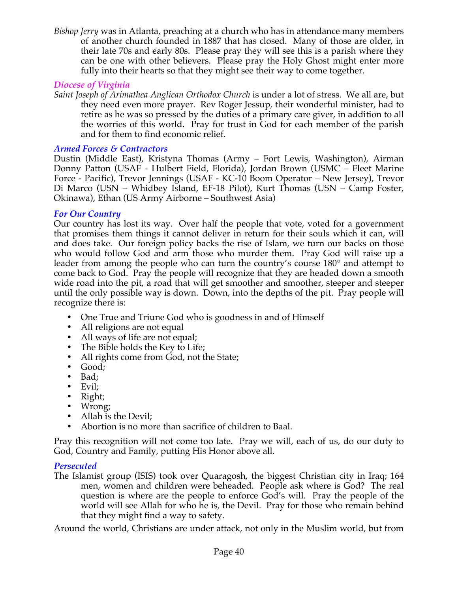*Bishop Jerry* was in Atlanta, preaching at a church who has in attendance many members of another church founded in 1887 that has closed. Many of those are older, in their late 70s and early 80s. Please pray they will see this is a parish where they can be one with other believers. Please pray the Holy Ghost might enter more fully into their hearts so that they might see their way to come together.

# *Diocese of Virginia*

*Saint Joseph of Arimathea Anglican Orthodox Church* is under a lot of stress. We all are, but they need even more prayer. Rev Roger Jessup, their wonderful minister, had to retire as he was so pressed by the duties of a primary care giver, in addition to all the worries of this world. Pray for trust in God for each member of the parish and for them to find economic relief.

# *Armed Forces & Contractors*

Dustin (Middle East), Kristyna Thomas (Army – Fort Lewis, Washington), Airman Donny Patton (USAF - Hulbert Field, Florida), Jordan Brown (USMC – Fleet Marine Force - Pacific), Trevor Jennings (USAF - KC-10 Boom Operator – New Jersey), Trevor Di Marco (USN – Whidbey Island, EF-18 Pilot), Kurt Thomas (USN – Camp Foster, Okinawa), Ethan (US Army Airborne – Southwest Asia)

# *For Our Country*

Our country has lost its way. Over half the people that vote, voted for a government that promises them things it cannot deliver in return for their souls which it can, will and does take. Our foreign policy backs the rise of Islam, we turn our backs on those who would follow God and arm those who murder them. Pray God will raise up a leader from among the people who can turn the country's course 180° and attempt to come back to God. Pray the people will recognize that they are headed down a smooth wide road into the pit, a road that will get smoother and smoother, steeper and steeper until the only possible way is down. Down, into the depths of the pit. Pray people will recognize there is:

- One True and Triune God who is goodness in and of Himself
- All religions are not equal
- All ways of life are not equal;
- The Bible holds the Key to Life;
- All rights come from God, not the State;
- Good;
- Bad;
- Evil;
- Right;
- Wrong;
- Allah is the Devil;
- Abortion is no more than sacrifice of children to Baal.

Pray this recognition will not come too late. Pray we will, each of us, do our duty to God, Country and Family, putting His Honor above all.

# *Persecuted*

The Islamist group (ISIS) took over Quaragosh, the biggest Christian city in Iraq; 164 men, women and children were beheaded. People ask where is God? The real question is where are the people to enforce God's will. Pray the people of the world will see Allah for who he is, the Devil. Pray for those who remain behind that they might find a way to safety.

Around the world, Christians are under attack, not only in the Muslim world, but from